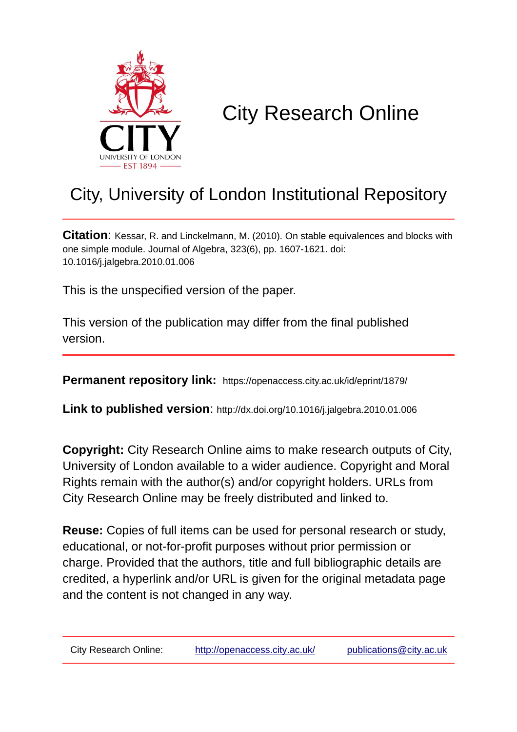

# City Research Online

## City, University of London Institutional Repository

**Citation**: Kessar, R. and Linckelmann, M. (2010). On stable equivalences and blocks with one simple module. Journal of Algebra, 323(6), pp. 1607-1621. doi: 10.1016/j.jalgebra.2010.01.006

This is the unspecified version of the paper.

This version of the publication may differ from the final published version.

**Permanent repository link:** https://openaccess.city.ac.uk/id/eprint/1879/

**Link to published version**: http://dx.doi.org/10.1016/j.jalgebra.2010.01.006

**Copyright:** City Research Online aims to make research outputs of City, University of London available to a wider audience. Copyright and Moral Rights remain with the author(s) and/or copyright holders. URLs from City Research Online may be freely distributed and linked to.

**Reuse:** Copies of full items can be used for personal research or study, educational, or not-for-profit purposes without prior permission or charge. Provided that the authors, title and full bibliographic details are credited, a hyperlink and/or URL is given for the original metadata page and the content is not changed in any way.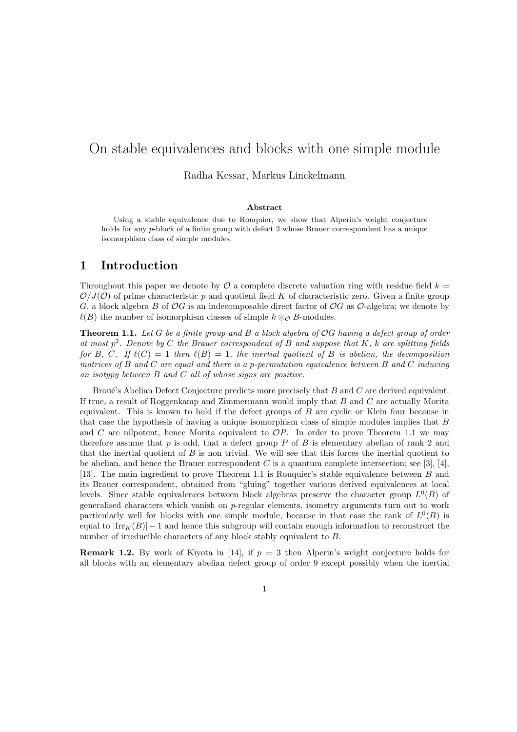### On stable equivalences and blocks with one simple module

Radha Kessar, Markus Linckelmann

#### Abstract

Using a stable equivalence due to Rouquier, we show that Alperin's weight conjecture holds for any p-block of a finite group with defect 2 whose Brauer correspondent has a unique isomorphism class of simple modules.

#### 1 Introduction

Throughout this paper we denote by  $\mathcal O$  a complete discrete valuation ring with residue field  $k =$  $\mathcal{O}/J(\mathcal{O})$  of prime characteristic p and quotient field K of characteristic zero. Given a finite group G, a block algebra B of OG is an indecomposable direct factor of OG as O-algebra; we denote by  $\ell(B)$  the number of isomorphism classes of simple  $k \otimes_{\mathcal{O}} B$ -modules.

Theorem 1.1. *Let* G *be a finite group and* B *a block algebra of* OG *having a defect group of order at most* p 2 *. Denote by* C *the Brauer correspondent of* B *and suppose that* K*,* k *are splitting fields for* B, C. If  $\ell(C) = 1$  then  $\ell(B) = 1$ , the inertial quotient of B is abelian, the decomposition *matrices of* B *and* C *are equal and there is a* p*-permutation equivalence between* B *and* C *inducing an isotypy between* B *and* C *all of whose signs are positive.*

Broué's Abelian Defect Conjecture predicts more precisely that  $B$  and  $C$  are derived equivalent. If true, a result of Roggenkamp and Zimmermann would imply that B and C are actually Morita equivalent. This is known to hold if the defect groups of  $B$  are cyclic or Klein four because in that case the hypothesis of having a unique isomorphism class of simple modules implies that B and  $C$  are nilpotent, hence Morita equivalent to  $OP$ . In order to prove Theorem 1.1 we may therefore assume that  $p$  is odd, that a defect group  $P$  of  $B$  is elementary abelian of rank 2 and that the inertial quotient of  $B$  is non trivial. We will see that this forces the inertial quotient to be abelian, and hence the Brauer correspondent C is a quantum complete intersection; see [3], [4], [13]. The main ingredient to prove Theorem 1.1 is Rouquier's stable equivalence between B and its Brauer correspondent, obtained from "gluing" together various derived equivalences at local levels. Since stable equivalences between block algebras preserve the character group  $L^0(B)$  of generalised characters which vanish on p-regular elements, isometry arguments turn out to work particularly well for blocks with one simple module, because in that case the rank of  $L^0(B)$  is equal to  $|\text{Irr}_K(B)| - 1$  and hence this subgroup will contain enough information to reconstruct the number of irreducible characters of any block stably equivalent to B.

**Remark 1.2.** By work of Kiyota in [14], if  $p = 3$  then Alperin's weight conjecture holds for all blocks with an elementary abelian defect group of order 9 except possibly when the inertial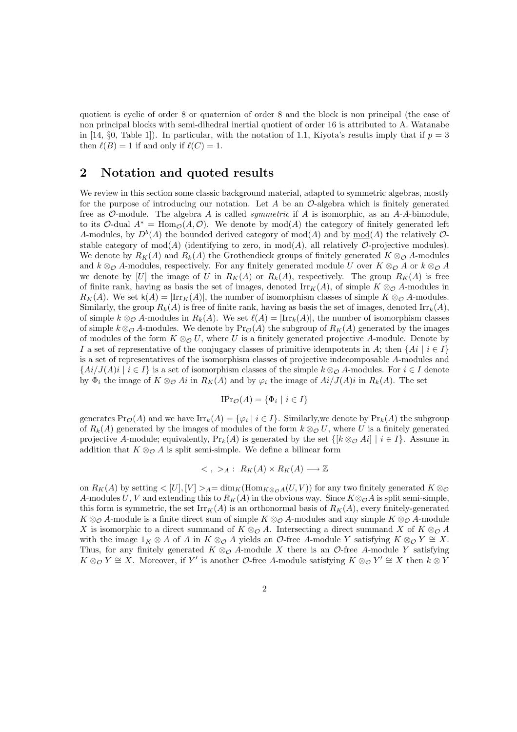quotient is cyclic of order 8 or quaternion of order 8 and the block is non principal (the case of non principal blocks with semi-dihedral inertial quotient of order 16 is attributed to A. Watanabe in [14, §0, Table 1]). In particular, with the notation of 1.1, Kiyota's results imply that if  $p = 3$ then  $\ell(B) = 1$  if and only if  $\ell(C) = 1$ .

#### 2 Notation and quoted results

We review in this section some classic background material, adapted to symmetric algebras, mostly for the purpose of introducing our notation. Let  $A$  be an  $\mathcal{O}-$ -algebra which is finitely generated free as  $\mathcal{O}\text{-module}$ . The algebra A is called *symmetric* if A is isomorphic, as an A-A-bimodule, to its O-dual  $A^* = \text{Hom}_{\mathcal{O}}(A, \mathcal{O})$ . We denote by mod(A) the category of finitely generated left A-modules, by  $D^b(A)$  the bounded derived category of mod(A) and by  $\underline{\text{mod}}(A)$  the relatively  $\mathcal{O}$ stable category of  $mod(A)$  (identifying to zero, in  $mod(A)$ , all relatively O-projective modules). We denote by  $R_K(A)$  and  $R_k(A)$  the Grothendieck groups of finitely generated  $K \otimes_{\mathcal{O}} A$ -modules and  $k \otimes_{\mathcal{O}} A$ -modules, respectively. For any finitely generated module U over  $K \otimes_{\mathcal{O}} A$  or  $k \otimes_{\mathcal{O}} A$ we denote by [U] the image of U in  $R_K(A)$  or  $R_k(A)$ , respectively. The group  $R_K(A)$  is free of finite rank, having as basis the set of images, denoted  $\text{Irr}_K(A)$ , of simple  $K \otimes_{\mathcal{O}} A$ -modules in  $R_K(A)$ . We set  $\mathsf{k}(A) = |\text{Irr}_K(A)|$ , the number of isomorphism classes of simple  $K \otimes_{\mathcal{O}} A$ -modules. Similarly, the group  $R_k(A)$  is free of finite rank, having as basis the set of images, denoted Irr $_k(A)$ , of simple  $k \otimes_{\mathcal{O}} A$ -modules in  $R_k(A)$ . We set  $\ell(A) = |\text{Irr}_k(A)|$ , the number of isomorphism classes of simple  $k \otimes_{\mathcal{O}} A$ -modules. We denote by  $\Pr_{\mathcal{O}}(A)$  the subgroup of  $R_K(A)$  generated by the images of modules of the form  $K \otimes_{\mathcal{O}} U$ , where U is a finitely generated projective A-module. Denote by I a set of representative of the conjugacy classes of primitive idempotents in A; then  $\{Ai \mid i \in I\}$ is a set of representatives of the isomorphism classes of projective indecomposable A-modules and  $\{Ai/J(A)$ i |  $i \in I\}$  is a set of isomorphism classes of the simple  $k \otimes_{\mathcal{O}} A$ -modules. For  $i \in I$  denote by  $\Phi_i$  the image of  $K \otimes_{\mathcal{O}} A_i$  in  $R_K(A)$  and by  $\varphi_i$  the image of  $Ai/J(A)i$  in  $R_k(A)$ . The set

$$
\text{IPr}_{\mathcal{O}}(A) = \{ \Phi_i \mid i \in I \}
$$

generates  $\Pr_{\mathcal{O}}(A)$  and we have  $\text{Irr}_k(A) = \{ \varphi_i \mid i \in I \}$ . Similarly, we denote by  $\Pr_k(A)$  the subgroup of  $R_k(A)$  generated by the images of modules of the form  $k \otimes_{\mathcal{O}} U$ , where U is a finitely generated projective A-module; equivalently,  $Pr_k(A)$  is generated by the set  $\{[k \otimes_{\mathcal{O}} A_i] \mid i \in I\}$ . Assume in addition that  $K \otimes_{\mathcal{O}} A$  is split semi-simple. We define a bilinear form

$$
\langle \, , \, >_A : R_K(A) \times R_K(A) \longrightarrow \mathbb{Z}
$$

on  $R_K(A)$  by setting  $\langle [U], [V] \rangle_A = \dim_K(\text{Hom}_{K \otimes_{\mathcal{O}} A}(U,V))$  for any two finitely generated  $K \otimes_{\mathcal{O}} A(U,V)$ A-modules U, V and extending this to  $R_K(A)$  in the obvious way. Since  $K \otimes_{\mathcal{O}} A$  is split semi-simple, this form is symmetric, the set  $\text{Irr}_K(A)$  is an orthonormal basis of  $R_K(A)$ , every finitely-generated  $K \otimes_{\mathcal{O}} A$ -module is a finite direct sum of simple  $K \otimes_{\mathcal{O}} A$ -modules and any simple  $K \otimes_{\mathcal{O}} A$ -module X is isomorphic to a direct summand of  $K \otimes_{\mathcal{O}} A$ . Intersecting a direct summand X of  $K \otimes_{\mathcal{O}} A$ with the image  $1_K \otimes A$  of A in  $K \otimes_{\mathcal{O}} A$  yields an  $\mathcal{O}\text{-free } A\text{-module } Y$  satisfying  $K \otimes_{\mathcal{O}} Y \cong X$ . Thus, for any finitely generated  $K \otimes_{\mathcal{O}} A$ -module X there is an  $\mathcal{O}$ -free A-module Y satisfying  $K \otimes_{\mathcal{O}} Y \cong X$ . Moreover, if Y' is another  $\mathcal{O}$ -free A-module satisfying  $K \otimes_{\mathcal{O}} Y' \cong X$  then  $k \otimes Y$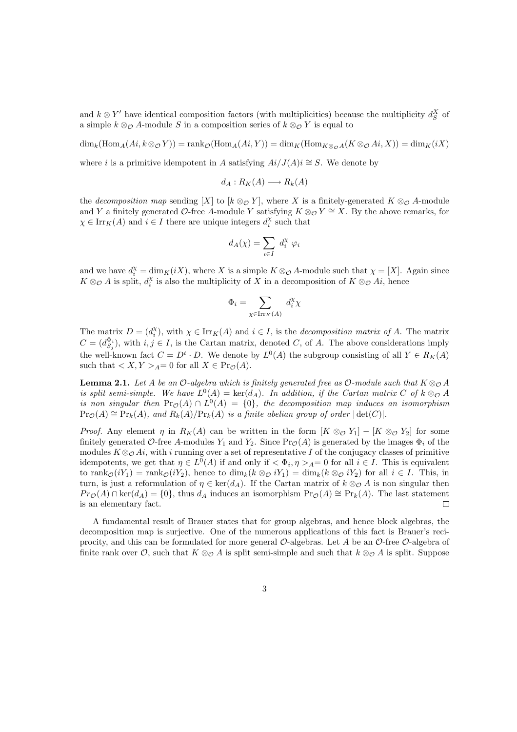and  $k \otimes Y'$  have identical composition factors (with multiplicities) because the multiplicity  $d_S^X$  of a simple  $k \otimes_{\mathcal{O}} A$ -module S in a composition series of  $k \otimes_{\mathcal{O}} Y$  is equal to

 $\dim_k(\text{Hom}_A(A_i,k\otimes_\mathcal{O} Y)) = \text{rank}_\mathcal{O}(\text{Hom}_A(A_i,Y)) = \dim_K(\text{Hom}_{K\otimes_\mathcal{O} A}(K\otimes_\mathcal{O} A_i,X)) = \dim_K(iX)$ 

where i is a primitive idempotent in A satisfying  $Ai/J(A)i \cong S$ . We denote by

$$
d_A: R_K(A) \longrightarrow R_k(A)
$$

the *decomposition map* sending [X] to  $[k \otimes_{\mathcal{O}} Y]$ , where X is a finitely-generated  $K \otimes_{\mathcal{O}} A$ -module and Y a finitely generated O-free A-module Y satisfying  $K \otimes_{\mathcal{O}} Y \cong X$ . By the above remarks, for  $\chi \in \mathrm{Irr}_K(A)$  and  $i \in I$  there are unique integers  $d_i^{\chi}$  such that

$$
d_A(\chi) = \sum_{i \in I} d_i^{\chi} \varphi_i
$$

and we have  $d_i^{\chi} = \dim_K(iX)$ , where X is a simple  $K \otimes_{\mathcal{O}} A$ -module such that  $\chi = [X]$ . Again since  $K \otimes_{\mathcal{O}} A$  is split,  $d_i^X$  is also the multiplicity of X in a decomposition of  $K \otimes_{\mathcal{O}} A_i$ , hence

$$
\Phi_i = \sum_{\chi \in \operatorname{Irr}_K(A)} d_i^{\chi} \chi
$$

The matrix  $D = (d_i^{\chi})$ , with  $\chi \in \text{Irr}_K(A)$  and  $i \in I$ , is the *decomposition matrix of A*. The matrix  $C = (d_{S_j}^{\Phi_i})$ , with  $i, j \in I$ , is the Cartan matrix, denoted C, of A. The above considerations imply the well-known fact  $C = D^t \cdot D$ . We denote by  $L^0(A)$  the subgroup consisting of all  $Y \in R_K(A)$ such that  $\langle X, Y \rangle_A = 0$  for all  $X \in \text{Pr}_{\mathcal{O}}(A)$ .

**Lemma 2.1.** Let A be an O-algebra which is finitely generated free as O-module such that  $K \otimes_{\mathcal{O}} A$ *is split semi-simple.* We have  $L^0(A) = \text{ker}(d_A)$ . In addition, if the Cartan matrix C of  $k \otimes_{\mathcal{O}} A$ *is non singular then*  $\Pr_{\mathcal{O}}(A) \cap L^0(A) = \{0\}$ , the decomposition map induces an isomorphism  $\Pr_{\mathcal{O}}(A) \cong \Pr_k(A)$ , and  $R_k(A)/\Pr_k(A)$  *is a finite abelian group of order*  $|\det(C)|$ *.* 

*Proof.* Any element  $\eta$  in  $R_K(A)$  can be written in the form  $[K \otimes_{\mathcal{O}} Y_1] - [K \otimes_{\mathcal{O}} Y_2]$  for some finitely generated O-free A-modules  $Y_1$  and  $Y_2$ . Since  $\text{Pr}_{\mathcal{O}}(A)$  is generated by the images  $\Phi_i$  of the modules  $K \otimes_{\mathcal{O}} Ai$ , with i running over a set of representative I of the conjugacy classes of primitive idempotents, we get that  $\eta \in L^0(A)$  if and only if  $\langle \Phi_i, \eta \rangle_A = 0$  for all  $i \in I$ . This is equivalent to rank $\mathcal{O}(iY_1) = \text{rank}_{\mathcal{O}}(iY_2)$ , hence to  $\dim_k(k \otimes_{\mathcal{O}} iY_1) = \dim_k(k \otimes_{\mathcal{O}} iY_2)$  for all  $i \in I$ . This, in turn, is just a reformulation of  $\eta \in \text{ker}(d_A)$ . If the Cartan matrix of  $k \otimes_{\mathcal{O}} A$  is non singular then  $Pro(A) \cap \text{ker}(d_A) = \{0\}$ , thus  $d_A$  induces an isomorphism  $Pro(A) \cong Pr_k(A)$ . The last statement is an elementary fact.  $\Box$ 

A fundamental result of Brauer states that for group algebras, and hence block algebras, the decomposition map is surjective. One of the numerous applications of this fact is Brauer's reciprocity, and this can be formulated for more general  $\mathcal{O}$ -algebras. Let A be an  $\mathcal{O}$ -free  $\mathcal{O}$ -algebra of finite rank over  $\mathcal{O}$ , such that  $K \otimes_{\mathcal{O}} A$  is split semi-simple and such that  $k \otimes_{\mathcal{O}} A$  is split. Suppose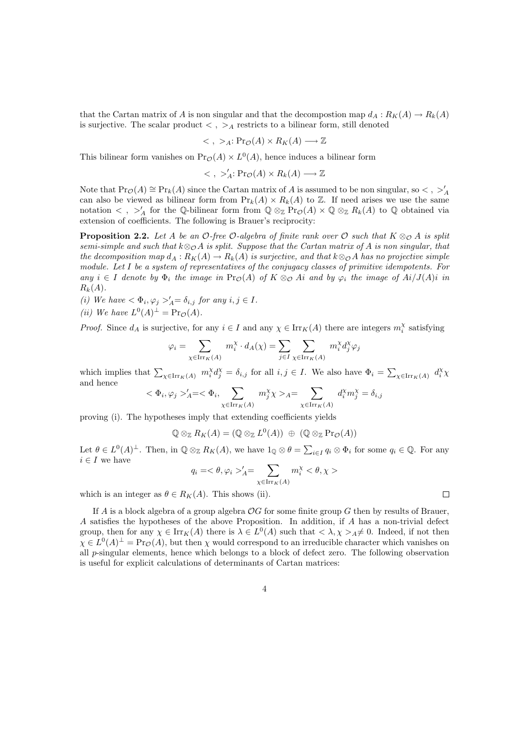that the Cartan matrix of A is non singular and that the decompostion map  $d_A: R_K(A) \to R_k(A)$ is surjective. The scalar product  $\langle , \rangle_A$  restricts to a bilinear form, still denoted

$$
\langle , \rangle_A : \text{Pr}_{\mathcal{O}}(A) \times R_K(A) \longrightarrow \mathbb{Z}
$$

This bilinear form vanishes on  $Pr_{\mathcal{O}}(A) \times L^{0}(A)$ , hence induces a bilinear form

$$
\langle , \rangle'_A: \mathrm{Pr}_{\mathcal{O}}(A) \times R_k(A) \longrightarrow \mathbb{Z}
$$

Note that  $Pr_{\mathcal{O}}(A) \cong Pr_k(A)$  since the Cartan matrix of A is assumed to be non singular, so  $\lt$ ,  $\gt'_{A}$ can also be viewed as bilinear form from  $Pr_k(A) \times R_k(A)$  to Z. If need arises we use the same notation  $\langle , \rangle'_A$  for the Q-bilinear form from  $\mathbb{Q} \otimes_{\mathbb{Z}} \Pr_{\mathcal{O}}(A) \times \mathbb{Q} \otimes_{\mathbb{Z}} R_k(A)$  to  $\mathbb{Q}$  obtained via extension of coefficients. The following is Brauer's reciprocity:

**Proposition 2.2.** Let A be an  $\mathcal{O}$ -free  $\mathcal{O}$ -algebra of finite rank over  $\mathcal{O}$  such that  $K \otimes_{\mathcal{O}} A$  is split *semi-simple and such that*  $k \otimes_{\mathcal{O}} A$  *is split. Suppose that the Cartan matrix of* A *is non singular, that the decomposition map*  $d_A: R_K(A) \to R_k(A)$  *is surjective, and that*  $k \otimes_{\mathcal{O}} A$  *has no projective simple module. Let* I *be a system of representatives of the conjugacy classes of primitive idempotents. For*  $any \ i \in I$  *denote by*  $\Phi_i$  *the image in*  $\text{Pr}_{\mathcal{O}}(A)$  *of*  $K \otimes_{\mathcal{O}} A_i$  *and by*  $\varphi_i$  *the image of*  $Ai/J(A)i$  *in*  $R_k(A)$ .

(i) We have  $\langle \Phi_i, \varphi_j \rangle_A = \delta_{i,j}$  for any  $i, j \in I$ .

(ii) We have 
$$
L^0(A)^{\perp} = Pr_{\mathcal{O}}(A)
$$
.

*Proof.* Since  $d_A$  is surjective, for any  $i \in I$  and any  $\chi \in \text{Irr}_K(A)$  there are integers  $m_i^{\chi}$  satisfying

$$
\varphi_i = \sum_{\chi \in \operatorname{Irr}_K(A)} m_i^{\chi} \cdot d_A(\chi) = \sum_{j \in I} \sum_{\chi \in \operatorname{Irr}_K(A)} m_i^{\chi} d_j^{\chi} \varphi_j
$$

which implies that  $\sum_{\chi \in \text{Irr}_K(A)} m_i^{\chi} d_j^{\chi} = \delta_{i,j}$  for all  $i, j \in I$ . We also have  $\Phi_i = \sum_{\chi \in \text{Irr}_K(A)} d_i^{\chi} \chi$ and hence

$$
\langle \Phi_i, \varphi_j \rangle_A = \langle \Phi_i, \sum_{\chi \in \text{Irr}_K(A)} m_j^{\chi} \chi \rangle_A = \sum_{\chi \in \text{Irr}_K(A)} d_i^{\chi} m_j^{\chi} = \delta_{i,j}
$$

proving (i). The hypotheses imply that extending coefficients yields

$$
\mathbb{Q} \otimes_{\mathbb{Z}} R_K(A) = (\mathbb{Q} \otimes_{\mathbb{Z}} L^0(A)) \oplus (\mathbb{Q} \otimes_{\mathbb{Z}} \Pr_{\mathcal{O}}(A))
$$

Let  $\theta \in L^0(A)^{\perp}$ . Then, in  $\mathbb{Q} \otimes_{\mathbb{Z}} R_K(A)$ , we have  $1_{\mathbb{Q}} \otimes \theta = \sum_{i \in I} q_i \otimes \Phi_i$  for some  $q_i \in \mathbb{Q}$ . For any  $i \in I$  we have

$$
q_i=<\theta,\varphi_i>_{A}^{\prime}=\sum_{\chi\in\operatorname{Irr}_K(A)}m_i^{\chi}<\theta,\chi>
$$

 $\Box$ 

which is an integer as  $\theta \in R_K(A)$ . This shows (ii).

If A is a block algebra of a group algebra  $OG$  for some finite group G then by results of Brauer, A satisfies the hypotheses of the above Proposition. In addition, if A has a non-trivial defect group, then for any  $\chi \in \mathrm{Irr}_K(A)$  there is  $\lambda \in L^0(A)$  such that  $\langle \lambda, \chi \rangle_A \neq 0$ . Indeed, if not then  $\chi \in L^0(A)^{\perp} = \Pr_{\mathcal{O}}(A)$ , but then  $\chi$  would correspond to an irreducible character which vanishes on all p-singular elements, hence which belongs to a block of defect zero. The following observation is useful for explicit calculations of determinants of Cartan matrices: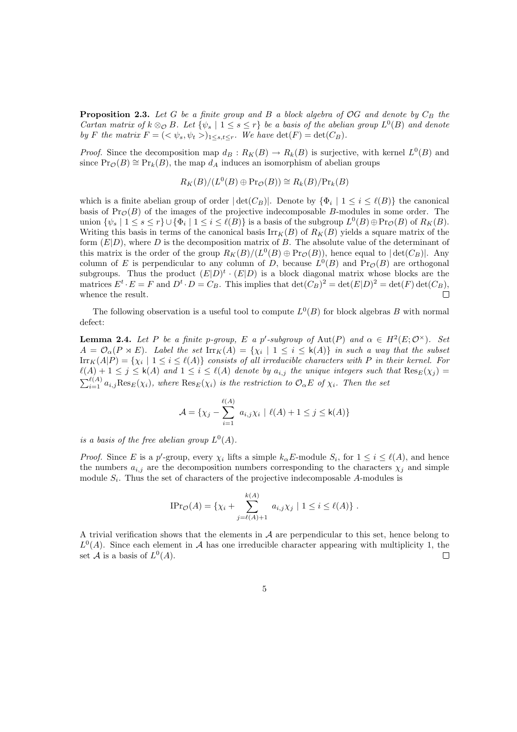**Proposition 2.3.** Let G be a finite group and B a block algebra of  $OG$  and denote by  $C_B$  the *Cartan matrix of*  $k \otimes_{\mathcal{O}} B$ *. Let*  $\{\psi_s \mid 1 \leq s \leq r\}$  *be a basis of the abelian group*  $L^0(B)$  *and denote by F* the matrix  $F = \langle \langle \psi_s, \psi_t \rangle \rangle_{1 \leq s, t \leq r}$ . We have  $\det(F) = \det(C_B)$ .

*Proof.* Since the decomposition map  $d_B: R_K(B) \to R_k(B)$  is surjective, with kernel  $L^0(B)$  and since  $\Pr_{\mathcal{O}}(B) \cong \Pr_k(B)$ , the map  $d_A$  induces an isomorphism of abelian groups

$$
R_K(B)/(L^0(B) \oplus \mathrm{Pr}_{\mathcal{O}}(B)) \cong R_k(B)/\mathrm{Pr}_k(B)
$$

which is a finite abelian group of order  $|\det(C_B)|$ . Denote by  $\{\Phi_i \mid 1 \le i \le \ell(B)\}\$  the canonical basis of  $\text{Pr}_{\mathcal{O}}(B)$  of the images of the projective indecomposable B-modules in some order. The union  $\{\psi_s \mid 1 \leq s \leq r\} \cup \{\Phi_i \mid 1 \leq i \leq \ell(B)\}\$ is a basis of the subgroup  $L^0(B) \oplus \Pr_{\mathcal{O}}(B)$  of  $R_K(B)$ . Writing this basis in terms of the canonical basis  $\text{Irr}_K(B)$  of  $R_K(B)$  yields a square matrix of the form  $(E|D)$ , where D is the decomposition matrix of B. The absolute value of the determinant of this matrix is the order of the group  $R_K(B)/(L^0(B) \oplus Pr_{\mathcal{O}}(B))$ , hence equal to  $|\det(C_B)|$ . Any column of E is perpendicular to any column of D, because  $L^0(B)$  and  $Pr_{\mathcal{O}}(B)$  are orthogonal subgroups. Thus the product  $(E|D)^t \cdot (E|D)$  is a block diagonal matrix whose blocks are the matrices  $E^t \cdot E = F$  and  $D^t \cdot D = C_B$ . This implies that  $\det(C_B)^2 = \det(E|D)^2 = \det(F) \det(C_B)$ , whence the result.  $\Box$ 

The following observation is a useful tool to compute  $L^0(B)$  for block algebras B with normal defect:

**Lemma 2.4.** Let P be a finite p-group, E a p'-subgroup of  $Aut(P)$  and  $\alpha \in H^2(E; \mathcal{O}^{\times})$ . Set  $A = \mathcal{O}_{\alpha}(P \rtimes E)$ . Label the set  $\text{Irr}_K(A) = \{\chi_i \mid 1 \leq i \leq k(A)\}\$ in such a way that the subset  $\text{Irr}_K(A|P) = \{ \chi_i \mid 1 \leq i \leq \ell(A) \}$  *consists of all irreducible characters with* P *in their kernel. For*  $\ell(A) + 1 \leq j \leq k(A)$  and  $1 \leq i \leq \ell(A)$  denote by  $a_{i,j}$  the unique integers such that  $\text{Res}_E(\chi_j) =$  $\sum_{i=1}^{\ell(A)} a_{i,j} \text{Res}_{E}(\chi_i)$ , where  $\text{Res}_{E}(\chi_i)$  is the restriction to  $\mathcal{O}_{\alpha}E$  of  $\chi_i$ . Then the set

$$
\mathcal{A} = \{ \chi_j - \sum_{i=1}^{\ell(A)} a_{i,j} \chi_i \mid \ell(A) + 1 \le j \le \mathsf{k}(A) \}
$$

*is a basis of the free abelian group*  $L^0(A)$ .

*Proof.* Since E is a p'-group, every  $\chi_i$  lifts a simple  $k_\alpha E$ -module  $S_i$ , for  $1 \leq i \leq \ell(A)$ , and hence the numbers  $a_{i,j}$  are the decomposition numbers corresponding to the characters  $\chi_j$  and simple module  $S_i$ . Thus the set of characters of the projective indecomposable A-modules is

$$
\text{IPr}_{\mathcal{O}}(A) = \{ \chi_i + \sum_{j=\ell(A)+1}^{k(A)} a_{i,j} \chi_j \mid 1 \le i \le \ell(A) \}.
$$

A trivial verification shows that the elements in  $A$  are perpendicular to this set, hence belong to  $L^0(A)$ . Since each element in A has one irreducible character appearing with multiplicity 1, the set A is a basis of  $L^0(A)$ .  $\Box$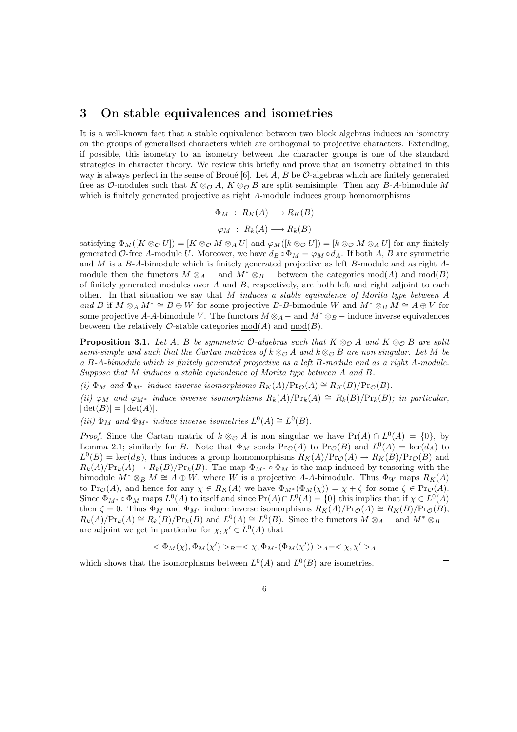#### 3 On stable equivalences and isometries

It is a well-known fact that a stable equivalence between two block algebras induces an isometry on the groups of generalised characters which are orthogonal to projective characters. Extending, if possible, this isometry to an isometry between the character groups is one of the standard strategies in character theory. We review this briefly and prove that an isometry obtained in this way is always perfect in the sense of Broué [6]. Let A, B be  $\mathcal{O}$ -algebras which are finitely generated free as O-modules such that  $K \otimes_{\mathcal{O}} A$ ,  $K \otimes_{\mathcal{O}} B$  are split semisimple. Then any B-A-bimodule M which is finitely generated projective as right A-module induces group homomorphisms

> $\Phi_M$ :  $R_K(A) \longrightarrow R_K(B)$  $\varphi_M$  :  $R_k(A) \longrightarrow R_k(B)$

satisfying  $\Phi_M([K \otimes_{\mathcal{O}} U]) = [K \otimes_{\mathcal{O}} M \otimes_A U]$  and  $\varphi_M([k \otimes_{\mathcal{O}} U]) = [k \otimes_{\mathcal{O}} M \otimes_A U]$  for any finitely generated O-free A-module U. Moreover, we have  $d_B \circ \Phi_M = \varphi_M \circ d_A$ . If both A, B are symmetric and M is a B-A-bimodule which is finitely generated projective as left B-module and as right Amodule then the functors  $M \otimes_A -$  and  $M^* \otimes_B -$  between the categories mod(A) and mod(B) of finitely generated modules over  $A$  and  $B$ , respectively, are both left and right adjoint to each other. In that situation we say that M *induces a stable equivalence of Morita type between* A *and* B if  $M \otimes_A M^* \cong B \oplus W$  for some projective B-B-bimodule W and  $M^* \otimes_B M \cong A \oplus V$  for some projective A-A-bimodule V. The functors  $M \otimes_A -$  and  $M^* \otimes_B -$  induce inverse equivalences between the relatively  $\mathcal{O}\text{-stable categories mod}(A)$  and  $mod(B)$ .

**Proposition 3.1.** Let A, B be symmetric  $\mathcal{O}$ -algebras such that  $K \otimes_{\mathcal{O}} A$  and  $K \otimes_{\mathcal{O}} B$  are split *semi-simple and such that the Cartan matrices of*  $k \otimes_{\mathcal{O}} A$  *and*  $k \otimes_{\mathcal{O}} B$  *are non singular. Let* M *be a* B*-*A*-bimodule which is finitely generated projective as a left* B*-module and as a right* A*-module. Suppose that* M *induces a stable equivalence of Morita type between* A *and* B*.*

*(i)*  $\Phi_M$  *and*  $\Phi_{M^*}$  *induce inverse isomorphisms*  $R_K(A)/\text{Pr}_{\mathcal{O}}(A) \cong R_K(B)/\text{Pr}_{\mathcal{O}}(B)$ *.* 

*(ii)*  $\varphi_M$  *and*  $\varphi_{M^*}$  *induce inverse isomorphisms*  $R_k(A)/\Pr_k(A) \cong R_k(B)/\Pr_k(B)$ *; in particular,*  $|\det(B)| = |\det(A)|$ .

(*iii*)  $\Phi_M$  *and*  $\Phi_{M^*}$  *induce inverse isometries*  $L^0(A) \cong L^0(B)$ *.* 

*Proof.* Since the Cartan matrix of  $k \otimes_{\mathcal{O}} A$  is non singular we have  $Pr(A) \cap L^0(A) = \{0\}$ , by Lemma 2.1; similarly for B. Note that  $\Phi_M$  sends  $\Pr_{\mathcal{O}}(A)$  to  $\Pr_{\mathcal{O}}(B)$  and  $L^0(A) = \ker(d_A)$  to  $L^0(B) = \text{ker}(d_B)$ , thus induces a group homomorphisms  $R_K(A)/\text{Pr}_{\mathcal{O}}(A) \to R_K(B)/\text{Pr}_{\mathcal{O}}(B)$  and  $R_k(A)/\Pr_k(A) \to R_k(B)/\Pr_k(B)$ . The map  $\Phi_{M^*} \circ \Phi_M$  is the map induced by tensoring with the bimodule  $M^* \otimes_B M \cong A \oplus W$ , where W is a projective A-A-bimodule. Thus  $\Phi_W$  maps  $R_K(A)$ to Pr<sub> $\mathcal{O}(A)$ </sub>, and hence for any  $\chi \in R_K(A)$  we have  $\Phi_{M^*}(\Phi_M(\chi)) = \chi + \zeta$  for some  $\zeta \in \text{Pr}_{\mathcal{O}}(A)$ . Since  $\Phi_{M^*} \circ \Phi_M$  maps  $L^0(A)$  to itself and since  $Pr(A) \cap L^0(A) = \{0\}$  this implies that if  $\chi \in L^0(A)$ then  $\zeta = 0$ . Thus  $\Phi_M$  and  $\Phi_{M^*}$  induce inverse isomorphisms  $R_K(A)/\text{Pr}_{\mathcal{O}}(A) \cong R_K(B)/\text{Pr}_{\mathcal{O}}(B)$ ,  $R_k(A)/\Pr_k(A) \cong R_k(B)/\Pr_k(B)$  and  $L^0(A) \cong L^0(B)$ . Since the functors  $M \otimes_A -$  and  $M^* \otimes_B$ are adjoint we get in particular for  $\chi, \chi' \in L^0(A)$  that

$$
<\Phi_M(\chi), \Phi_M(\chi')>_B = <\chi, \Phi_{M^*}(\Phi_M(\chi'))>_A = <\chi, \chi'>_A
$$

6

which shows that the isomorphisms between  $L^0(A)$  and  $L^0(B)$  are isometries.

 $\Box$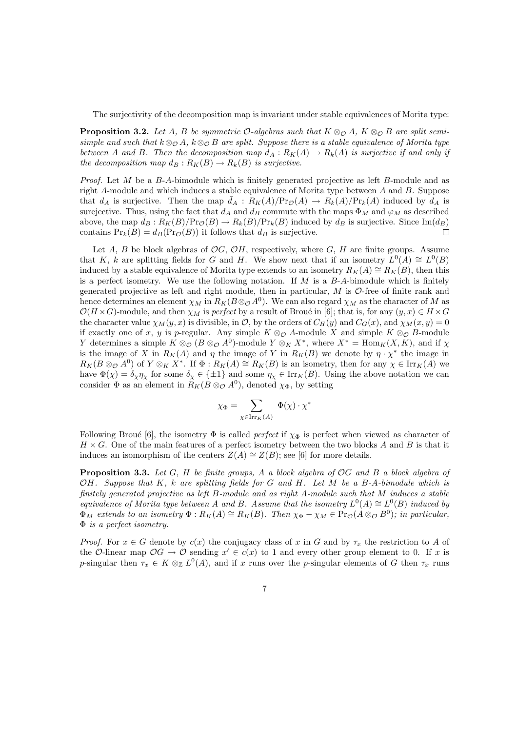The surjectivity of the decomposition map is invariant under stable equivalences of Morita type:

**Proposition 3.2.** Let A, B be symmetric  $O$ -algebras such that  $K \otimes_{\mathcal{O}} A$ ,  $K \otimes_{\mathcal{O}} B$  are split semi*simple and such that*  $k \otimes_{\mathcal{O}} A$ *,*  $k \otimes_{\mathcal{O}} B$  *are split. Suppose there is a stable equivalence of Morita type between* A and B. Then the decomposition map  $d_A: R_K(A) \to R_k(A)$  is surjective if and only if *the decomposition map*  $d_B: R_K(B) \to R_k(B)$  *is surjective.* 

*Proof.* Let M be a B-A-bimodule which is finitely generated projective as left B-module and as right  $A$ -module and which induces a stable equivalence of Morita type between  $A$  and  $B$ . Suppose that  $d_A$  is surjective. Then the map  $d_A: R_K(A)/Pr_{\mathcal{O}}(A) \to R_k(A)/Pr_k(A)$  induced by  $d_A$  is surejective. Thus, using the fact that  $d_A$  and  $d_B$  commute with the maps  $\Phi_M$  and  $\varphi_M$  as described above, the map  $d_B: R_K(B)/Pr_{\mathcal{O}}(B) \to R_k(B)/Pr_k(B)$  induced by  $d_B$  is surjective. Since  $\text{Im}(d_B)$ contains  $Pr_k(B) = d_B(Pr_{\mathcal{O}}(B))$  it follows that  $d_B$  is surjective.  $\Box$ 

Let A, B be block algebras of  $OG$ ,  $OH$ , respectively, where G, H are finite groups. Assume that K, k are splitting fields for G and H. We show next that if an isometry  $L^0(A) \cong L^0(B)$ induced by a stable equivalence of Morita type extends to an isometry  $R_K(A) \cong R_K(B)$ , then this is a perfect isometry. We use the following notation. If  $M$  is a  $B$ -A-bimodule which is finitely generated projective as left and right module, then in particular,  $M$  is  $\mathcal{O}$ -free of finite rank and hence determines an element  $\chi_M$  in  $R_K(B \otimes_\mathcal{O} A^0)$ . We can also regard  $\chi_M$  as the character of  $M$  as  $\mathcal{O}(H \times G)$ -module, and then  $\chi_M$  is *perfect* by a result of Broué in [6]; that is, for any  $(y, x) \in H \times G$ the character value  $\chi_M(y, x)$  is divisible, in O, by the orders of  $C_H(y)$  and  $C_G(x)$ , and  $\chi_M(x, y) = 0$ if exactly one of x, y is p-regular. Any simple  $K \otimes_{\mathcal{O}} A$ -module X and simple  $K \otimes_{\mathcal{O}} B$ -module Y determines a simple  $K \otimes_{\mathcal{O}} (B \otimes_{\mathcal{O}} A^0)$ -module  $Y \otimes_K X^*$ , where  $X^* = \text{Hom}_K(X, K)$ , and if  $\chi$ is the image of X in  $R_K(A)$  and  $\eta$  the image of Y in  $R_K(B)$  we denote by  $\eta \cdot \chi^*$  the image in  $R_K(B \otimes_{\mathcal{O}} A^0)$  of  $Y \otimes_K X^*$ . If  $\Phi: R_K(A) \cong R_K(B)$  is an isometry, then for any  $\chi \in \mathrm{Irr}_K(A)$  we have  $\Phi(\chi) = \delta_{\chi} \eta_{\chi}$  for some  $\delta_{\chi} \in {\pm 1}$  and some  $\eta_{\chi} \in \text{Irr}_K(B)$ . Using the above notation we can consider  $\Phi$  as an element in  $R_K(B \otimes_{\mathcal{O}} A^0)$ , denoted  $\chi_{\Phi}$ , by setting

$$
\chi_{\Phi} = \sum_{\chi \in \mathrm{Irr}_K(A)} \Phi(\chi) \cdot \chi^*
$$

Following Broué [6], the isometry  $\Phi$  is called *perfect* if  $\chi_{\Phi}$  is perfect when viewed as character of  $H \times G$ . One of the main features of a perfect isometry between the two blocks A and B is that it induces an isomorphism of the centers  $Z(A) \cong Z(B)$ ; see [6] for more details.

Proposition 3.3. *Let* G*,* H *be finite groups,* A *a block algebra of* OG *and* B *a block algebra of* OH*. Suppose that* K*,* k *are splitting fields for* G *and* H*. Let* M *be a* B*-*A*-bimodule which is finitely generated projective as left* B*-module and as right* A*-module such that* M *induces a stable equivalence of Morita type between* A and B. Assume that the isometry  $L^0(A) \cong L^0(B)$  induced by  $\Phi_M$  extends to an isometry  $\Phi: R_K(A) \cong R_K(B)$ . Then  $\chi_{\Phi} - \chi_M \in \text{Pr}_{\mathcal{O}}(A \otimes_{\mathcal{O}} B^0)$ ; in particular, Φ *is a perfect isometry.*

*Proof.* For  $x \in G$  denote by  $c(x)$  the conjugacy class of x in G and by  $\tau_x$  the restriction to A of the O-linear map  $OG \to O$  sending  $x' \in c(x)$  to 1 and every other group element to 0. If x is p-singular then  $\tau_x \in K \otimes_{\mathbb{Z}} L^0(A)$ , and if x runs over the p-singular elements of G then  $\tau_x$  runs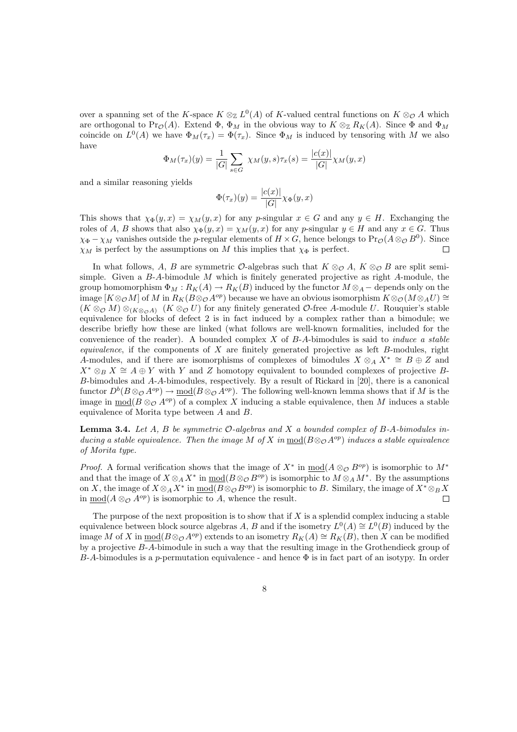over a spanning set of the K-space  $K \otimes_{\mathbb{Z}} L^0(A)$  of K-valued central functions on  $K \otimes_{\mathcal{O}} A$  which are orthogonal to Pr<sub>Q</sub>(A). Extend  $\Phi$ ,  $\Phi_M$  in the obvious way to  $K \otimes_{\mathbb{Z}} R_K(A)$ . Since  $\Phi$  and  $\Phi_M$ coincide on  $L^0(A)$  we have  $\Phi_M(\tau_x) = \Phi(\tau_x)$ . Since  $\Phi_M$  is induced by tensoring with M we also have

$$
\Phi_M(\tau_x)(y) = \frac{1}{|G|} \sum_{s \in G} \ \chi_M(y, s) \tau_x(s) = \frac{|c(x)|}{|G|} \chi_M(y, x)
$$

and a similar reasoning yields

$$
\Phi(\tau_x)(y) = \frac{|c(x)|}{|G|} \chi_{\Phi}(y, x)
$$

This shows that  $\chi_{\Phi}(y,x) = \chi_M(y,x)$  for any p-singular  $x \in G$  and any  $y \in H$ . Exchanging the roles of A, B shows that also  $\chi_{\Phi}(y,x) = \chi_M(y,x)$  for any p-singular  $y \in H$  and any  $x \in G$ . Thus  $\chi_{\Phi} - \chi_M$  vanishes outside the p-regular elements of  $H \times G$ , hence belongs to  $\Pr_{\mathcal{O}}(A \otimes_{\mathcal{O}} B^0)$ . Since  $\chi_M$  is perfect by the assumptions on M this implies that  $\chi_{\Phi}$  is perfect.  $\Box$ 

In what follows, A, B are symmetric  $\mathcal{O}$ -algebras such that  $K \otimes_{\mathcal{O}} A$ ,  $K \otimes_{\mathcal{O}} B$  are split semisimple. Given a  $B-A$ -bimodule M which is finitely generated projective as right A-module, the group homomorphism  $\Phi_M : R_K(A) \to R_K(B)$  induced by the functor  $M \otimes_A -$  depends only on the image  $[K\otimes_{\mathcal{O}} M]$  of M in  $R_K(B\otimes_{\mathcal{O}} A^{op})$  because we have an obvious isomorphism  $K\otimes_{\mathcal{O}} (M\otimes_A U)$  ≅  $(K \otimes_{\mathcal{O}} M) \otimes_{(K \otimes_{\mathcal{O}} A)} (K \otimes_{\mathcal{O}} U)$  for any finitely generated  $\mathcal{O}$ -free A-module U. Rouquier's stable equivalence for blocks of defect 2 is in fact induced by a complex rather than a bimodule; we describe briefly how these are linked (what follows are well-known formalities, included for the convenience of the reader). A bounded complex X of B-A-bimodules is said to *induce a stable equivalence*, if the components of X are finitely generated projective as left B-modules, right A-modules, and if there are isomorphisms of complexes of bimodules  $X \otimes_A X^* \cong B \oplus Z$  and  $X^* \otimes_B X \cong A \oplus Y$  with Y and Z homotopy equivalent to bounded complexes of projective B-B-bimodules and A-A-bimodules, respectively. By a result of Rickard in [20], there is a canonical functor  $D^b(B\otimes_\mathcal{O} A^{op})\to \underline{\text{mod}}(B\otimes_\mathcal{O} A^{op})$ . The following well-known lemma shows that if M is the image in  $mod(B \otimes_{\mathcal{O}} A^{op})$  of a complex X inducing a stable equivalence, then M induces a stable equivalence of Morita type between A and B.

Lemma 3.4. *Let* A*,* B *be symmetric* O*-algebras and* X *a bounded complex of* B*-*A*-bimodules inducing a stable equivalence. Then the image* M *of* X *in*  $\text{mod}(B \otimes_{\mathcal{O}} A^{op})$  *induces a stable equivalence of Morita type.*

*Proof.* A formal verification shows that the image of  $X^*$  in  $\underline{\text{mod}}(A \otimes_{\mathcal{O}} B^{op})$  is isomorphic to  $M^*$ and that the image of  $X \otimes_A X^*$  in  $\underline{\text{mod}}(B \otimes_{\mathcal{O}} B^{op})$  is isomorphic to  $M \otimes_A M^*$ . By the assumptions on X, the image of  $X \otimes_A X^*$  in  $\underline{\text{mod}}(B \otimes_{\mathcal{O}} B^{op})$  is isomorphic to B. Similary, the image of  $X^* \otimes_B X$ in  $\underline{\text{mod}}(A \otimes_{\mathcal{O}} A^{op})$  is isomorphic to A, whence the result.  $\Box$ 

The purpose of the next proposition is to show that if  $X$  is a splendid complex inducing a stable equivalence between block source algebras A, B and if the isometry  $L^0(A) \cong L^0(B)$  induced by the image M of X in  $\underline{\text{mod}}(B\otimes_{\mathcal{O}} A^{op})$  extends to an isometry  $R_K(A) \cong R_K(B)$ , then X can be modified by a projective B-A-bimodule in such a way that the resulting image in the Grothendieck group of B-A-bimodules is a p-permutation equivalence - and hence  $\Phi$  is in fact part of an isotypy. In order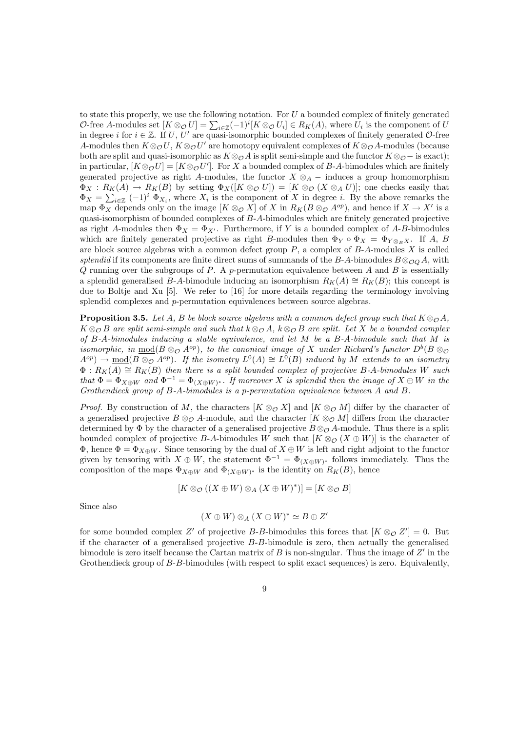to state this properly, we use the following notation. For  $U$  a bounded complex of finitely generated O-free A-modules set  $[K \otimes_{\mathcal{O}} U] = \sum_{i \in \mathbb{Z}} (-1)^i [K \otimes_{\mathcal{O}} U_i] \in R_K(A)$ , where  $U_i$  is the component of U in degree i for  $i \in \mathbb{Z}$ . If U, U' are quasi-isomorphic bounded complexes of finitely generated O-free A-modules then  $K \otimes_{\mathcal{O}} U$ ,  $K \otimes_{\mathcal{O}} U'$  are homotopy equivalent complexes of  $K \otimes_{\mathcal{O}} A$ -modules (because both are split and quasi-isomorphic as  $K \otimes_{\mathcal{O}} A$  is split semi-simple and the functor  $K \otimes_{\mathcal{O}} -$  is exact); in particular,  $[K \otimes_{\mathcal{O}} U] = [K \otimes_{\mathcal{O}} U']$ . For X a bounded complex of B-A-bimodules which are finitely generated projective as right A-modules, the functor  $X \otimes_A -$  induces a group homomorphism  $\Phi_X: R_K(A) \to R_K(B)$  by setting  $\Phi_X([K \otimes_{\mathcal{O}} U]) = [K \otimes_{\mathcal{O}} (X \otimes_A U)]$ ; one checks easily that  $\Phi_X = \sum_{i \in \mathbb{Z}} (-1)^i \Phi_{X_i}$ , where  $X_i$  is the component of X in degree i. By the above remarks the map  $\Phi_X$  depends only on the image  $[K \otimes_{\mathcal{O}} X]$  of X in  $R_K(B \otimes_{\mathcal{O}} A^{op})$ , and hence if  $X \to X'$  is a quasi-isomorphism of bounded complexes of B-A-bimodules which are finitely generated projective as right A-modules then  $\Phi_X = \Phi_{X'}$ . Furthermore, if Y is a bounded complex of A-B-bimodules which are finitely generated projective as right B-modules then  $\Phi_Y \circ \Phi_X = \Phi_{Y \otimes_B X}$ . If A, B are block source algebras with a common defect group  $P$ , a complex of  $B$ -A-modules  $X$  is called *splendid* if its components are finite direct sums of summands of the B-A-bimodules  $B \otimes_{\mathcal{O} \mathcal{O}} A$ , with  $Q$  running over the subgroups of  $P$ . A p-permutation equivalence between  $A$  and  $B$  is essentially a splendid generalised B-A-bimodule inducing an isomorphism  $R_K(A) \cong R_K(B)$ ; this concept is due to Boltje and Xu [5]. We refer to [16] for more details regarding the terminology involving splendid complexes and p-permutation equivalences between source algebras.

**Proposition 3.5.** *Let* A, B *be block source algebras with a common defect group such that*  $K \otimes_{\mathcal{O}} A$ *,*  $K \otimes_{\mathcal{O}} B$  are split semi-simple and such that  $k \otimes_{\mathcal{O}} A$ ,  $k \otimes_{\mathcal{O}} B$  are split. Let X be a bounded complex *of* B*-*A*-bimodules inducing a stable equivalence, and let* M *be a* B*-*A*-bimodule such that* M *is isomorphic, in*  $\underline{\text{mod}}(B \otimes_{\mathcal{O}} A^{op})$ , to the canonical image of X under Rickard's functor  $D^b(B \otimes_{\mathcal{O}} A^o)$  $A^{op}$   $\rightarrow$   $\underline{\text{mod}}(B \otimes_{\mathcal{O}} A^{op})$ . If the isometry  $L^0(A) \cong L^{\tilde{0}}(B)$  induced by M extends to an isometry  $\Phi: R_K(A) \cong R_K(B)$  *then there is a split bounded complex of projective* B-A-bimodules W such *that*  $\Phi = \Phi_{X \oplus W}$  *and*  $\Phi^{-1} = \Phi_{(X \oplus W)^*}$ *. If moreover* X *is splendid then the image of*  $X \oplus W$  *in the Grothendieck group of* B*-*A*-bimodules is a* p*-permutation equivalence between* A *and* B*.*

*Proof.* By construction of M, the characters  $[K \otimes_{\mathcal{O}} X]$  and  $[K \otimes_{\mathcal{O}} M]$  differ by the character of a generalised projective  $B \otimes_{\mathcal{O}} A$ -module, and the character  $[K \otimes_{\mathcal{O}} M]$  differs from the character determined by  $\Phi$  by the character of a generalised projective  $B \otimes_{\mathcal{O}} A$ -module. Thus there is a split bounded complex of projective B-A-bimodules W such that  $[K \otimes_{\mathcal{O}} (X \oplus W)]$  is the character of  $\Phi$ , hence  $\Phi = \Phi_{X\oplus W}$ . Since tensoring by the dual of  $X\oplus W$  is left and right adjoint to the functor given by tensoring with  $X \oplus W$ , the statement  $\Phi^{-1} = \Phi_{(X \oplus W)^*}$  follows immediately. Thus the composition of the maps  $\Phi_{X \oplus W}$  and  $\Phi_{(X \oplus W)^*}$  is the identity on  $R_K(B)$ , hence

$$
[K \otimes_{\mathcal{O}} ((X \oplus W) \otimes_A (X \oplus W)^*)] = [K \otimes_{\mathcal{O}} B]
$$

Since also

$$
(X \oplus W) \otimes_A (X \oplus W)^* \simeq B \oplus Z'
$$

for some bounded complex Z' of projective B-B-bimodules this forces that  $[K \otimes_{\mathcal{O}} Z'] = 0$ . But if the character of a generalised projective  $B$ - $B$ -bimodule is zero, then actually the generalised bimodule is zero itself because the Cartan matrix of  $B$  is non-singular. Thus the image of  $Z'$  in the Grothendieck group of B-B-bimodules (with respect to split exact sequences) is zero. Equivalently,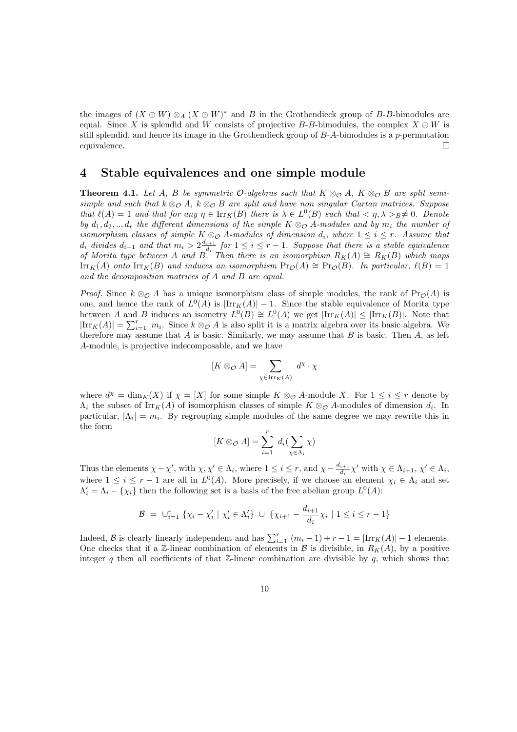the images of  $(X \oplus W) \otimes_A (X \oplus W)^*$  and B in the Grothendieck group of B-B-bimodules are equal. Since X is splendid and W consists of projective B-B-bimodules, the complex  $X \oplus W$  is still splendid, and hence its image in the Grothendieck group of  $B-A$ -bimodules is a p-permutation equivalence. П

#### 4 Stable equivalences and one simple module

**Theorem 4.1.** Let A, B be symmetric  $\mathcal{O}$ -algebras such that  $K \otimes_{\mathcal{O}} A$ ,  $K \otimes_{\mathcal{O}} B$  are split semi*simple and such that*  $k \otimes_{\mathcal{O}} A$ *,*  $k \otimes_{\mathcal{O}} B$  *are split and have non singular Cartan matrices. Suppose that*  $\ell(A) = 1$  *and that for any*  $\eta \in \text{Irr}_K(B)$  *there is*  $\lambda \in L^0(B)$  *such that*  $\langle \eta, \lambda \rangle_B \neq 0$ *. Denote by*  $d_1, d_2, \ldots, d_r$  *the different dimensions of the simple*  $K \otimes_{\mathcal{O}} A$ -modules and by  $m_i$  *the number of isomorphism classes of simple*  $K \otimes_{\mathcal{O}} A$ *-modules of dimension*  $d_i$ *, where*  $1 \leq i \leq r$ *. Assume that*  $d_i$  divides  $d_{i+1}$  and that  $m_i > 2 \frac{d_{i+1}}{d_i}$  $\frac{i+1}{d_i}$  for  $1 \leq i \leq r-1$ . Suppose that there is a stable equivalence *of Morita type between* A *and* B. Then there is an isomorphism  $R_K(A) \cong R_K(B)$  which maps  $\text{Irr}_K(A)$  *onto*  $\text{Irr}_K(B)$  *and induces an isomorphism*  $\text{Pr}_\mathcal{O}(A) \cong \text{Pr}_\mathcal{O}(B)$ *. In particular,*  $\ell(B) = 1$ *and the decomposition matrices of* A *and* B *are equal.*

*Proof.* Since  $k \otimes_{\mathcal{O}} A$  has a unique isomorphism class of simple modules, the rank of Pr<sub>O</sub>(A) is one, and hence the rank of  $L^0(A)$  is  $|\text{Irr}_K(A)| - 1$ . Since the stable equivalence of Morita type between A and B induces an isometry  $L^0(B) \cong L^0(A)$  we get  $|\text{Irr}_K(A)| \leq |\text{Irr}_K(B)|$ . Note that  $|\text{Irr}_K(A)| = \sum_{i=1}^r m_i$ . Since  $k \otimes_{\mathcal{O}} A$  is also split it is a matrix algebra over its basic algebra. We therefore may assume that  $A$  is basic. Similarly, we may assume that  $B$  is basic. Then  $A$ , as left A-module, is projective indecomposable, and we have

$$
[K \otimes_{\mathcal{O}} A] = \sum_{\chi \in \operatorname{Irr}_K(A)} d^{\chi} \cdot \chi
$$

where  $d^{\chi} = \dim_K(X)$  if  $\chi = [X]$  for some simple  $K \otimes_{\mathcal{O}} A$ -module X. For  $1 \leq i \leq r$  denote by  $\Lambda_i$  the subset of  $\text{Irr}_K(A)$  of isomorphism classes of simple  $K \otimes_{\mathcal{O}} A$ -modules of dimension  $d_i$ . In particular,  $|\Lambda_i| = m_i$ . By regrouping simple modules of the same degree we may rewrite this in the form

$$
[K \otimes_{\mathcal{O}} A] = \sum_{i=1}^{r} d_{i}(\sum_{\chi \in \Lambda_{i}} \chi)
$$

Thus the elements  $\chi - \chi'$ , with  $\chi, \chi' \in \Lambda_i$ , where  $1 \leq i \leq r$ , and  $\chi - \frac{d_{i+1}}{dz}$  $\frac{i+1}{d_i}\chi'$  with  $\chi \in \Lambda_{i+1}, \chi' \in \Lambda_i$ , where  $1 \leq i \leq r-1$  are all in  $L^0(A)$ . More precisely, if we choose an element  $\chi_i \in \Lambda_i$  and set  $\Lambda'_i = \Lambda_i - {\chi_i}$  then the following set is a basis of the free abelian group  $L^0(A)$ :

$$
\mathcal{B} = \bigcup_{i=1}^{r} \{ \chi_i - \chi'_i \mid \chi'_i \in \Lambda'_i \} \cup \{ \chi_{i+1} - \frac{d_{i+1}}{d_i} \chi_i \mid 1 \le i \le r-1 \}
$$

Indeed, B is clearly linearly independent and has  $\sum_{i=1}^{r} (m_i - 1) + r - 1 = |\text{Irr}_K(A)| - 1$  elements. One checks that if a Z-linear combination of elements in B is divisible, in  $R_K(A)$ , by a positive integer q then all coefficients of that  $\mathbb{Z}$ -linear combination are divisible by q, which shows that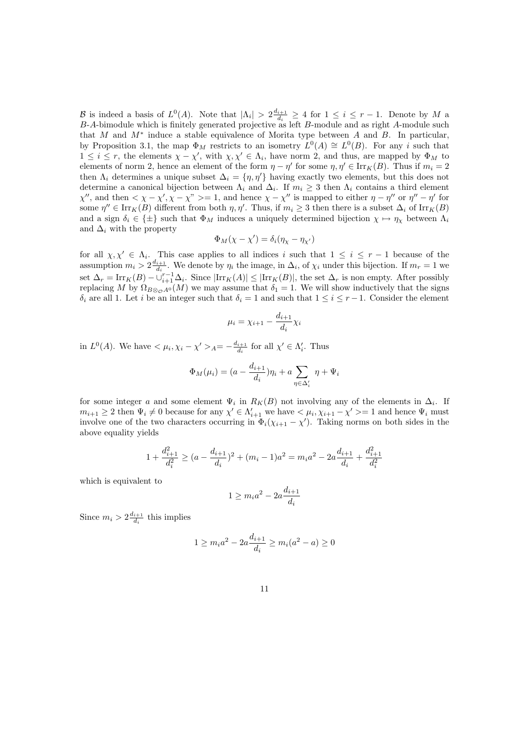B is indeed a basis of  $L^0(A)$ . Note that  $|\Lambda_i| > 2\frac{d_{i+1}}{d_i}$  $\frac{i+1}{d_i} \geq 4$  for  $1 \leq i \leq r-1$ . Denote by M a B-A-bimodule which is finitely generated projective as left B-module and as right A-module such that M and  $M^*$  induce a stable equivalence of Morita type between A and B. In particular, by Proposition 3.1, the map  $\Phi_M$  restricts to an isometry  $L^0(A) \cong L^0(B)$ . For any i such that  $1 \leq i \leq r$ , the elements  $\chi - \chi'$ , with  $\chi, \chi' \in \Lambda_i$ , have norm 2, and thus, are mapped by  $\Phi_M$  to elements of norm 2, hence an element of the form  $\eta - \eta'$  for some  $\eta, \eta' \in \text{Irr}_K(B)$ . Thus if  $m_i = 2$ then  $\Lambda_i$  determines a unique subset  $\Delta_i = \{\eta, \eta'\}$  having exactly two elements, but this does not determine a canonical bijection between  $\Lambda_i$  and  $\Delta_i$ . If  $m_i \geq 3$  then  $\Lambda_i$  contains a third element  $\chi''$ , and then  $\langle \chi - \chi', \chi - \chi'' \rangle = 1$ , and hence  $\chi - \chi''$  is mapped to either  $\eta - \eta''$  or  $\eta'' - \eta'$  for some  $\eta'' \in \text{Irr}_K(B)$  different from both  $\eta, \eta'$ . Thus, if  $m_i \geq 3$  then there is a subset  $\Delta_i$  of  $\text{Irr}_K(B)$ and a sign  $\delta_i \in \{\pm\}$  such that  $\Phi_M$  induces a uniquely determined bijection  $\chi \mapsto \eta_\chi$  between  $\Lambda_i$ and  $\Delta_i$  with the property

$$
\Phi_M(\chi - \chi') = \delta_i(\eta_\chi - \eta_{\chi'})
$$

for all  $\chi, \chi' \in \Lambda_i$ . This case applies to all indices i such that  $1 \leq i \leq r-1$  because of the assumption  $m_i > 2 \frac{d_{i+1}}{d_i}$  $\frac{i+1}{d_i}$ . We denote by  $\eta_i$  the image, in  $\Delta_i$ , of  $\chi_i$  under this bijection. If  $m_r = 1$  we set  $\Delta_r = \text{Irr}_K(B) - \bigcup_{i=1}^{r-1} \Delta_i$ . Since  $|\text{Irr}_K(A)| \leq |\text{Irr}_K(B)|$ , the set  $\Delta_r$  is non empty. After possibly replacing M by  $\Omega_{B\otimes_{\mathcal{O}} A^0}(M)$  we may assume that  $\delta_1 = 1$ . We will show inductively that the signs  $\delta_i$  are all 1. Let i be an integer such that  $\delta_i = 1$  and such that  $1 \leq i \leq r-1$ . Consider the element

$$
\mu_i = \chi_{i+1} - \frac{d_{i+1}}{d_i} \chi_i
$$

in  $L^0(A)$ . We have  $\langle \mu_i, \chi_i - \chi' \rangle_A = -\frac{d_{i+1}}{d_i}$  $\frac{i+1}{d_i}$  for all  $\chi' \in \Lambda'_i$ . Thus

$$
\Phi_M(\mu_i) = (a - \frac{d_{i+1}}{d_i})\eta_i + a \sum_{\eta \in \Delta_i'} \eta + \Psi_i
$$

for some integer a and some element  $\Psi_i$  in  $R_K(B)$  not involving any of the elements in  $\Delta_i$ . If  $m_{i+1} \geq 2$  then  $\Psi_i \neq 0$  because for any  $\chi' \in \Lambda'_{i+1}$  we have  $\langle \mu_i, \chi_{i+1} - \chi' \rangle = 1$  and hence  $\Psi_i$  must involve one of the two characters occurring in  $\Phi_i(\chi_{i+1} - \chi')$ . Taking norms on both sides in the above equality yields

$$
1 + \frac{d_{i+1}^2}{d_i^2} \ge (a - \frac{d_{i+1}}{d_i})^2 + (m_i - 1)a^2 = m_i a^2 - 2a \frac{d_{i+1}}{d_i} + \frac{d_{i+1}^2}{d_i^2}
$$

which is equivalent to

$$
1 \ge m_i a^2 - 2a \frac{d_{i+1}}{d_i}
$$

Since  $m_i > 2 \frac{d_{i+1}}{d_i}$  $\frac{i+1}{d_i}$  this implies

$$
1 \ge m_i a^2 - 2a \frac{d_{i+1}}{d_i} \ge m_i(a^2 - a) \ge 0
$$

11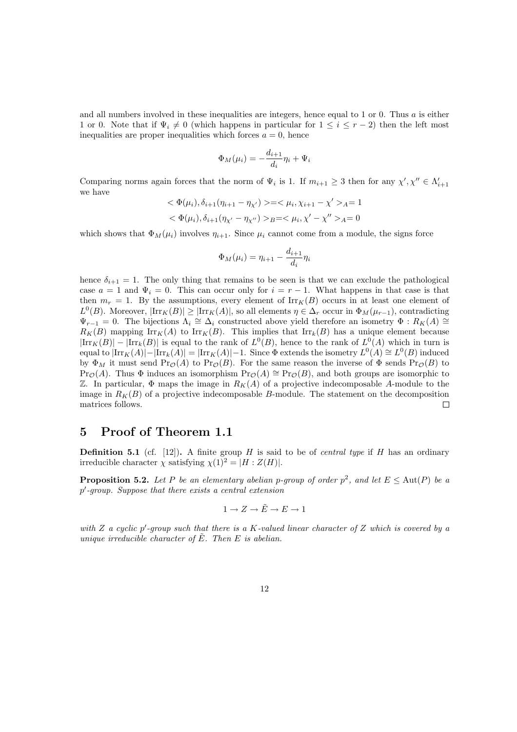and all numbers involved in these inequalities are integers, hence equal to 1 or 0. Thus  $a$  is either 1 or 0. Note that if  $\Psi_i \neq 0$  (which happens in particular for  $1 \leq i \leq r-2$ ) then the left most inequalities are proper inequalities which forces  $a = 0$ , hence

$$
\Phi_M(\mu_i) = -\frac{d_{i+1}}{d_i}\eta_i + \Psi_i
$$

Comparing norms again forces that the norm of  $\Psi_i$  is 1. If  $m_{i+1} \geq 3$  then for any  $\chi', \chi'' \in \Lambda'_{i+1}$ we have

$$
\langle \Phi(\mu_i), \delta_{i+1}(\eta_{i+1} - \eta_{\chi'}) \rangle = \langle \mu_i, \chi_{i+1} - \chi' \rangle_A = 1
$$
  

$$
\langle \Phi(\mu_i), \delta_{i+1}(\eta_{\chi'} - \eta_{\chi''}) \rangle_B = \langle \mu_i, \chi' - \chi'' \rangle_A = 0
$$

which shows that  $\Phi_M(\mu_i)$  involves  $\eta_{i+1}$ . Since  $\mu_i$  cannot come from a module, the signs force

$$
\Phi_M(\mu_i) = \eta_{i+1} - \frac{d_{i+1}}{d_i} \eta_i
$$

hence  $\delta_{i+1} = 1$ . The only thing that remains to be seen is that we can exclude the pathological case  $a = 1$  and  $\Psi_i = 0$ . This can occur only for  $i = r - 1$ . What happens in that case is that then  $m_r = 1$ . By the assumptions, every element of  $\text{Irr}_K(B)$  occurs in at least one element of  $L^0(B)$ . Moreover,  $|\text{Irr}_K(B)| \geq |\text{Irr}_K(A)|$ , so all elements  $\eta \in \Delta_r$  occur in  $\Phi_M(\mu_{r-1})$ , contradicting  $\Psi_{r-1} = 0$ . The bijections  $\Lambda_i \cong \Delta_i$  constructed above yield therefore an isometry  $\Phi : R_K(A) \cong$  $R_K(B)$  mapping Irr<sub>K</sub>(A) to Irr<sub>K</sub>(B). This implies that Irr<sub>k</sub>(B) has a unique element because  $|\text{Irr}_K(B)| - |\text{Irr}_k(B)|$  is equal to the rank of  $L^0(B)$ , hence to the rank of  $L^0(A)$  which in turn is equal to  $|\text{Irr}_K(A)| - |\text{Irr}_k(A)| = |\text{Irr}_K(A)| - 1$ . Since  $\Phi$  extends the isometry  $L^0(A) \cong L^0(B)$  induced by  $\Phi_M$  it must send  $\Pr_{\mathcal{O}}(A)$  to  $\Pr_{\mathcal{O}}(B)$ . For the same reason the inverse of  $\Phi$  sends  $\Pr_{\mathcal{O}}(B)$  to Pr<sub> $\mathcal{O}(A)$ </sub>. Thus  $\Phi$  induces an isomorphism Pr $\mathcal{O}(A) \cong \text{Pr}_{\mathcal{O}}(B)$ , and both groups are isomorphic to Z. In particular,  $\Phi$  maps the image in  $R_K(A)$  of a projective indecomposable A-module to the image in  $R_K(B)$  of a projective indecomposable B-module. The statement on the decomposition matrices follows.  $\Box$ 

#### 5 Proof of Theorem 1.1

**Definition 5.1** (cf. [12]). A finite group H is said to be of *central type* if H has an ordinary irreducible character  $\chi$  satisfying  $\chi(1)^2 = |H : Z(H)|$ .

**Proposition 5.2.** Let P be an elementary abelian p-group of order  $p^2$ , and let  $E \leq \text{Aut}(P)$  be a p ′ *-group. Suppose that there exists a central extension*

$$
1\to Z\to \tilde E\to E\to 1
$$

*with* Z *a cyclic* p ′ *-group such that there is a* K*-valued linear character of* Z *which is covered by a unique irreducible character of*  $\tilde{E}$ *. Then*  $E$  *is abelian.*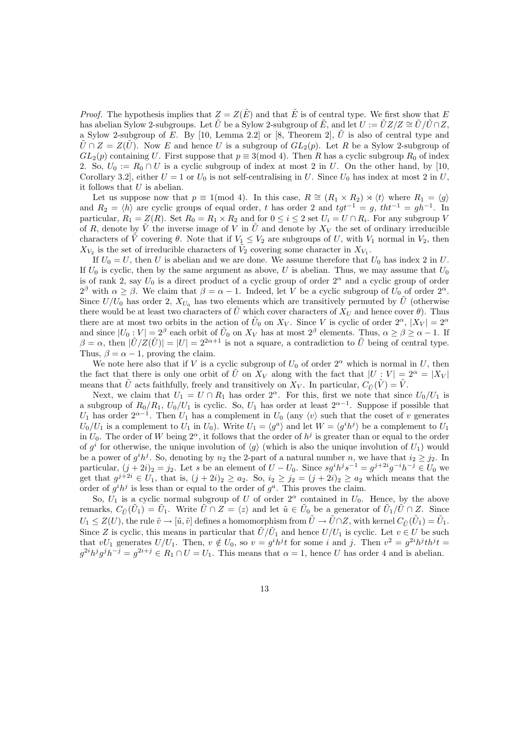*Proof.* The hypothesis implies that  $Z = Z(\tilde{E})$  and that  $\tilde{E}$  is of central type. We first show that E has abelian Sylow 2-subgroups. Let  $\hat{U}$  be a Sylow 2-subgroup of  $\hat{E}$ , and let  $U := \hat{U}Z/Z \cong \hat{U}/\hat{U} \cap Z$ , a Sylow 2-subgroup of E. By [10, Lemma 2.2] or [8, Theorem 2],  $\hat{U}$  is also of central type and  $\hat{U} \cap Z = Z(\hat{U})$ . Now E and hence U is a subgroup of  $GL_2(p)$ . Let R be a Sylow 2-subgroup of  $GL_2(p)$  containing U. First suppose that  $p \equiv 3 \pmod{4}$ . Then R has a cyclic subgroup  $R_0$  of index 2. So,  $U_0 := R_0 \cap U$  is a cyclic subgroup of index at most 2 in U. On the other hand, by [10, Corollary 3.2], either  $U = 1$  or  $U_0$  is not self-centralising in U. Since  $U_0$  has index at most 2 in U, it follows that  $U$  is abelian.

Let us suppose now that  $p \equiv 1 \pmod{4}$ . In this case,  $R \cong (R_1 \times R_2) \rtimes \langle t \rangle$  where  $R_1 = \langle g \rangle$ and  $R_2 = \langle h \rangle$  are cyclic groups of equal order, t has order 2 and  $tgt^{-1} = g$ ,  $tht^{-1} = gh^{-1}$ . In particular,  $R_1 = Z(R)$ . Set  $R_0 = R_1 \times R_2$  and for  $0 \le i \le 2$  set  $U_i = U \cap R_i$ . For any subgroup V of R, denote by  $\tilde{V}$  the inverse image of V in  $\tilde{U}$  and denote by  $X_V$  the set of ordinary irreducible characters of  $\tilde{V}$  covering  $\theta$ . Note that if  $V_1 \leq V_2$  are subgroups of U, with  $V_1$  normal in  $V_2$ , then  $X_{V_2}$  is the set of irreducible characters of  $\tilde{V}_2$  covering some character in  $X_{V_1}$ .

If  $U_0 = U$ , then U is abelian and we are done. We assume therefore that  $U_0$  has index 2 in U. If  $U_0$  is cyclic, then by the same argument as above, U is abelian. Thus, we may assume that  $U_0$ is of rank 2, say  $U_0$  is a direct product of a cyclic group of order  $2^{\alpha}$  and a cyclic group of order  $2^{\beta}$  with  $\alpha \geq \beta$ . We claim that  $\beta = \alpha - 1$ . Indeed, let V be a cyclic subgroup of  $U_0$  of order  $2^{\alpha}$ . Since  $U/U_0$  has order 2,  $X_{U_0}$  has two elements which are transitively permuted by  $\hat{U}$  (otherwise there would be at least two characters of U which cover characters of  $X_U$  and hence cover  $\theta$ ). Thus there are at most two orbits in the action of  $\tilde{U}_0$  on  $X_V$ . Since V is cyclic of order  $2^\alpha$ ,  $|X_V| = 2^\alpha$ and since  $|U_0:V|=2^{\beta}$  each orbit of  $\tilde{U}_0$  on  $X_V$  has at most  $2^{\beta}$  elements. Thus,  $\alpha \ge \beta \ge \alpha - 1$ . If  $\beta = \alpha$ , then  $|\tilde{U}/Z(\tilde{U})| = |U| = 2^{2\alpha+1}$  is not a square, a contradiction to  $\tilde{U}$  being of central type. Thus,  $\beta = \alpha - 1$ , proving the claim.

We note here also that if V is a cyclic subgroup of  $U_0$  of order  $2^{\alpha}$  which is normal in U, then the fact that there is only one orbit of  $\tilde{U}$  on  $X_V$  along with the fact that  $|U : V| = 2^{\alpha} = |X_V|$ means that  $\hat{U}$  acts faithfully, freely and transitively on  $X_V$ . In particular,  $C_{\tilde{U}}(\tilde{V}) = \tilde{V}$ .

Next, we claim that  $U_1 = U \cap R_1$  has order  $2^{\alpha}$ . For this, first we note that since  $U_0/U_1$  is a subgroup of  $R_0/R_1$ ,  $U_0/U_1$  is cyclic. So,  $U_1$  has order at least  $2^{\alpha-1}$ . Suppose if possible that U<sub>1</sub> has order  $2^{\alpha-1}$ . Then U<sub>1</sub> has a complement in U<sub>0</sub> (any  $\langle v \rangle$  such that the coset of v generates  $U_0/U_1$  is a complement to  $U_1$  in  $U_0$ ). Write  $U_1 = \langle g^a \rangle$  and let  $W = \langle g^i h^j \rangle$  be a complement to  $U_1$ in  $U_0$ . The order of W being  $2^{\alpha}$ , it follows that the order of  $h^j$  is greater than or equal to the order of  $g^i$  for otherwise, the unique involution of  $\langle g \rangle$  (which is also the unique involution of  $U_1$ ) would be a power of  $g^i h^j$ . So, denoting by  $n_2$  the 2-part of a natural number n, we have that  $i_2 \geq j_2$ . In particular,  $(j+2i)_2 = j_2$ . Let s be an element of  $U - U_0$ . Since  $sg^i h^j s^{-1} = g^{j+2i} g^{-i} h^{-j} \in U_0$  we get that  $g^{j+2i} \in U_1$ , that is,  $(j+2i)_2 \ge a_2$ . So,  $i_2 \ge j_2 = (j+2i)_2 \ge a_2$  which means that the order of  $g^i h^j$  is less than or equal to the order of  $g^a$ . This proves the claim.

So,  $U_1$  is a cyclic normal subgroup of U of order  $2^{\alpha}$  contained in  $U_0$ . Hence, by the above remarks,  $C_{\tilde{U}}(\tilde{U}_1) = \tilde{U}_1$ . Write  $\tilde{U} \cap Z = \langle z \rangle$  and let  $\tilde{u} \in \tilde{U}_0$  be a generator of  $\tilde{U}_1/\tilde{U} \cap Z$ . Since  $U_1 \leq Z(U)$ , the rule  $\tilde{v} \to [\tilde{u}, \tilde{v}]$  defines a homomorphism from  $\tilde{U} \to \tilde{U} \cap Z$ , with kernel  $C_{\tilde{U}}(\tilde{U}_1) = \tilde{U}_1$ . Since Z is cyclic, this means in particular that  $\tilde{U}/\tilde{U}_1$  and hence  $U/U_1$  is cyclic. Let  $v \in U$  be such that  $vU_1$  generates  $U/U_1$ . Then,  $v \notin U_0$ , so  $v = g^i h^j t$  for some i and j. Then  $v^2 = g^{2i} h^j t h^j t =$  $g^{2i}h^j g^j h^{-j} = g^{2i+j} \in R_1 \cap U = U_1$ . This means that  $\alpha = 1$ , hence U has order 4 and is abelian.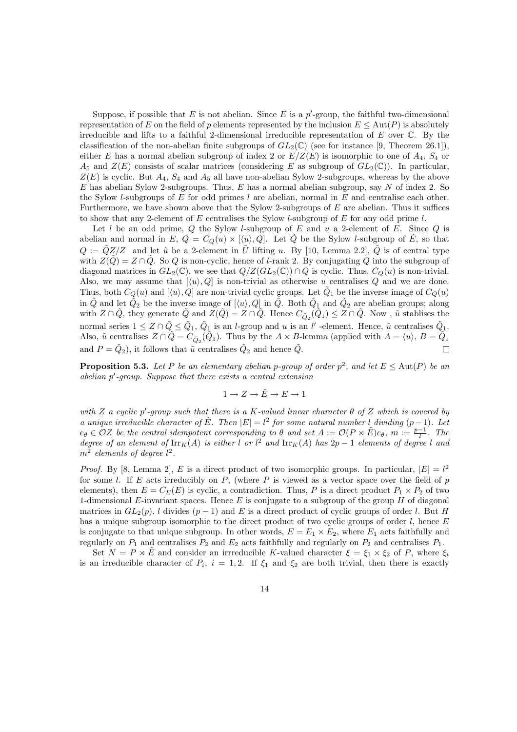Suppose, if possible that  $E$  is not abelian. Since  $E$  is a  $p'$ -group, the faithful two-dimensional representation of E on the field of p elements represented by the inclusion  $E \leq Aut(P)$  is absolutely irreducible and lifts to a faithful 2-dimensional irreducible representation of  $E$  over  $\mathbb C$ . By the classification of the non-abelian finite subgroups of  $GL_2(\mathbb{C})$  (see for instance [9, Theorem 26.1]), either E has a normal abelian subgroup of index 2 or  $E/Z(E)$  is isomorphic to one of  $A_4$ ,  $S_4$  or  $A_5$  and  $Z(E)$  consists of scalar matrices (considering E as subgroup of  $GL_2(\mathbb{C})$ ). In particular,  $Z(E)$  is cyclic. But  $A_4$ ,  $S_4$  and  $A_5$  all have non-abelian Sylow 2-subgroups, whereas by the above E has abelian Sylow 2-subgroups. Thus, E has a normal abelian subgroup, say N of index 2. So the Sylow *l*-subgroups of E for odd primes l are abelian, normal in E and centralise each other. Furthermore, we have shown above that the Sylow 2-subgroups of  $E$  are abelian. Thus it suffices to show that any 2-element of E centralises the Sylow *l*-subgroup of E for any odd prime *l*.

Let  $l$  be an odd prime,  $Q$  the Sylow  $l$ -subgroup of  $E$  and  $u$  a 2-element of  $E$ . Since  $Q$  is abelian and normal in E,  $Q = C_Q(u) \times [\langle u \rangle, Q]$ . Let  $\tilde{Q}$  be the Sylow l-subgroup of  $\tilde{E}$ , so that  $Q := \tilde{Q}Z/Z$  and let  $\tilde{u}$  be a 2-element in  $\tilde{U}$  lifting u. By [10, Lemma 2.2],  $\tilde{Q}$  is of central type with  $Z(\tilde{Q}) = Z \cap \tilde{Q}$ . So Q is non-cyclic, hence of l-rank 2. By conjugating Q into the subgroup of diagonal matrices in  $GL_2(\mathbb{C})$ , we see that  $Q/Z(GL_2(\mathbb{C})) \cap Q$  is cyclic. Thus,  $C_Q(u)$  is non-trivial. Also, we may assume that  $[\langle u \rangle, Q]$  is non-trivial as otherwise u centralises Q and we are done. Thus, both  $C_Q(u)$  and  $[\langle u \rangle, \overline{Q}]$  are non-trivial cyclic groups. Let  $\tilde{Q}_1$  be the inverse image of  $C_Q(u)$ in  $\tilde{Q}$  and let  $\tilde{Q}_2$  be the inverse image of  $[\langle u \rangle, Q]$  in  $\tilde{Q}$ . Both  $\tilde{Q}_1$  and  $\tilde{Q}_2$  are abelian groups; along with  $Z \cap \tilde{Q}$ , they generate  $\tilde{Q}$  and  $Z(\tilde{Q}) = Z \cap \tilde{Q}$ . Hence  $C_{\tilde{Q}_2}(\tilde{Q}_1) \leq Z \cap \tilde{Q}$ . Now ,  $\tilde{u}$  stablises the normal series  $1 \leq Z \cap \tilde{Q} \leq \tilde{Q}_1$ ,  $\tilde{Q}_1$  is an *l*-group and *u* is an *l'*-element. Hence,  $\tilde{u}$  centralises  $\tilde{Q}_1$ . Also,  $\tilde{u}$  centralises  $Z \cap \tilde{Q} = C_{\tilde{Q}_2}(\tilde{Q}_1)$ . Thus by the  $A \times B$ -lemma (applied with  $A = \langle u \rangle$ ,  $B = \tilde{Q}_1$ and  $P = \tilde{Q}_2$ , it follows that  $\tilde{u}$  centralises  $\tilde{Q}_2$  and hence  $\tilde{Q}$ .  $\Box$ 

**Proposition 5.3.** Let P be an elementary abelian p-group of order  $p^2$ , and let  $E \leq \text{Aut}(P)$  be an *abelian* p ′ *-group. Suppose that there exists a central extension*

$$
1\to Z\to \tilde E\to E\to 1
$$

*with* Z *a cyclic* p ′ *-group such that there is a* K*-valued linear character* θ *of* Z *which is covered by a* unique irreducible character of  $\tilde{E}$ . Then  $|E| = l^2$  for some natural number l dividing  $(p-1)$ . Let  $e_{\theta} \in \mathcal{O}Z$  *be the central idempotent corresponding to*  $\theta$  *and set*  $A := \mathcal{O}(P \rtimes E)e_{\theta}$ ,  $m := \frac{p-1}{l}$ . The *degree of an element of*  $\text{Irr}_K(A)$  *is either* l *or* l<sup>2</sup> *and*  $\text{Irr}_K(A)$  *has*  $2p - 1$  *elements of degree* l *and*  $m^2$  elements of degree  $l^2$ .

*Proof.* By [8, Lemma 2], E is a direct product of two isomorphic groups. In particular,  $|E| = l^2$ for some l. If E acts irreducibly on  $P$ , (where P is viewed as a vector space over the field of p elements), then  $E = C_E(E)$  is cyclic, a contradiction. Thus, P is a direct product  $P_1 \times P_2$  of two 1-dimensional E-invariant spaces. Hence  $E$  is conjugate to a subgroup of the group  $H$  of diagonal matrices in  $GL_2(p)$ , l divides  $(p-1)$  and E is a direct product of cyclic groups of order l. But H has a unique subgroup isomorphic to the direct product of two cyclic groups of order  $l$ , hence  $E$ is conjugate to that unique subgroup. In other words,  $E = E_1 \times E_2$ , where  $E_1$  acts faithfully and regularly on  $P_1$  and centralises  $P_2$  and  $E_2$  acts faithfully and regularly on  $P_2$  and centralises  $P_1$ .

Set  $N = P \rtimes \tilde{E}$  and consider an irrreducible K-valued character  $\xi = \xi_1 \times \xi_2$  of P, where  $\xi_i$ is an irreducible character of  $P_i$ ,  $i = 1, 2$ . If  $\xi_1$  and  $\xi_2$  are both trivial, then there is exactly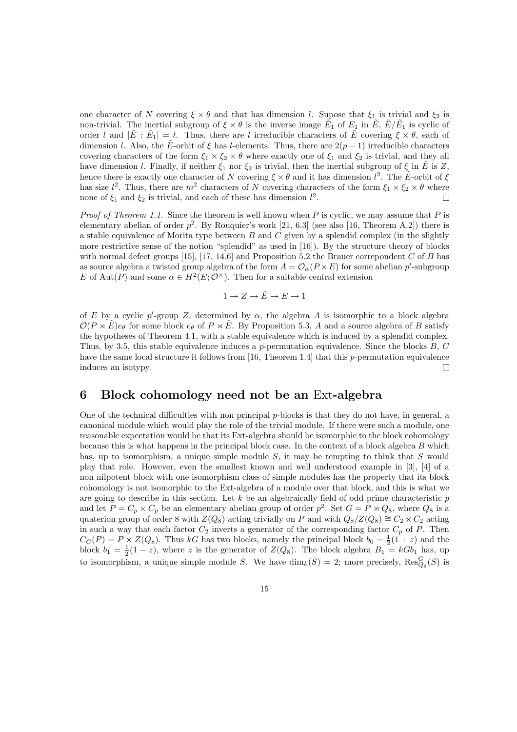one character of N covering  $\xi \times \theta$  and that has dimension l. Supose that  $\xi_1$  is trivial and  $\xi_2$  is non-trivial. The inertial subgroup of  $\xi \times \theta$  is the inverse image  $\tilde{E_1}$  of  $E_1$  in  $\tilde{E}$ ,  $\tilde{E}/\tilde{E_1}$  is cyclic of order l and  $|\tilde{E} : \tilde{E}_1| = l$ . Thus, there are l irreducible characters of  $\tilde{E}$  covering  $\xi \times \theta$ , each of dimension l. Also, the E-orbit of  $\xi$  has l-elements. Thus, there are  $2(p-1)$  irreducible characters covering characters of the form  $\xi_1 \times \xi_2 \times \theta$  where exactly one of  $\xi_1$  and  $\xi_2$  is trivial, and they all have dimension l. Finally, if neither  $\xi_1$  nor  $\xi_2$  is trivial, then the inertial subgroup of  $\xi$  in  $\tilde{E}$  is Z, hence there is exactly one character of N covering  $\xi \times \theta$  and it has dimension  $l^2$ . The  $\tilde{E}$ -orbit of  $\xi$ has size  $l^2$ . Thus, there are  $m^2$  characters of N covering characters of the form  $\xi_1 \times \xi_2 \times \theta$  where none of  $\xi_1$  and  $\xi_2$  is trivial, and each of these has dimension  $l^2$ .  $\Box$ 

*Proof of Theorem 1.1.* Since the theorem is well known when P is cyclic, we may assume that P is elementary abelian of order  $p^2$ . By Rouquier's work [21, 6.3] (see also [16, Theorem A.2]) there is a stable equivalence of Morita type between  $B$  and  $C$  given by a splendid complex (in the slightly more restrictive sense of the notion "splendid" as used in [16]). By the structure theory of blocks with normal defect groups [15], [17, 14.6] and Proposition 5.2 the Brauer correpondent  $C$  of  $B$  has as source algebra a twisted group algebra of the form  $A = \mathcal{O}_{\alpha}(P \rtimes E)$  for some abelian p'-subgroup E of Aut(P) and some  $\alpha \in H^2(E; \mathcal{O}^\times)$ . Then for a suitable central extension

$$
1 \to Z \to \tilde{E} \to E \to 1
$$

of E by a cyclic p'-group Z, determined by  $\alpha$ , the algebra A is isomorphic to a block algebra  $\mathcal{O}(P \rtimes \tilde{E})e_{\theta}$  for some block  $e_{\theta}$  of  $P \rtimes \tilde{E}$ . By Proposition 5.3, A and a source algebra of B satisfy the hypotheses of Theorem 4.1, with a stable equivalence which is induced by a splendid complex. Thus, by 3.5, this stable equivalence induces a p-permutation equivalence. Since the blocks  $B, C$ have the same local structure it follows from [16, Theorem 1.4] that this p-permutation equivalence induces an isotypy.  $\Box$ 

#### 6 Block cohomology need not be an Ext-algebra

One of the technical difficulties with non principal  $p$ -blocks is that they do not have, in general, a canonical module which would play the role of the trivial module. If there were such a module, one reasonable expectation would be that its Ext-algebra should be isomorphic to the block cohomology because this is what happens in the principal block case. In the context of a block algebra B which has, up to isomorphism, a unique simple module  $S$ , it may be tempting to think that  $S$  would play that role. However, even the smallest known and well understood example in [3], [4] of a non nilpotent block with one isomorphism class of simple modules has the property that its block cohomology is not isomorphic to the Ext-algebra of a module over that block, and this is what we are going to describe in this section. Let  $k$  be an algebraically field of odd prime characteristic  $p$ and let  $P = C_p \times C_p$  be an elementary abelian group of order  $p^2$ . Set  $G = P \rtimes Q_8$ , where  $Q_8$  is a quaterion group of order 8 with  $Z(Q_8)$  acting trivially on P and with  $Q_8/Z(Q_8) \cong C_2 \times C_2$  acting in such a way that each factor  $C_2$  inverts a generator of the corresponding factor  $C_p$  of P. Then  $C_G(P) = P \times Z(Q_8)$ . Thus kG has two blocks, namely the principal block  $b_0 = \frac{1}{2}(1+z)$  and the block  $b_1 = \frac{1}{2}(1-z)$ , where z is the generator of  $Z(Q_8)$ . The block algebra  $B_1 = kGb_1$  has, up to isomorphism, a unique simple module S. We have  $\dim_k(S) = 2$ ; more precisely,  $\text{Res}_{Q_8}^G(S)$  is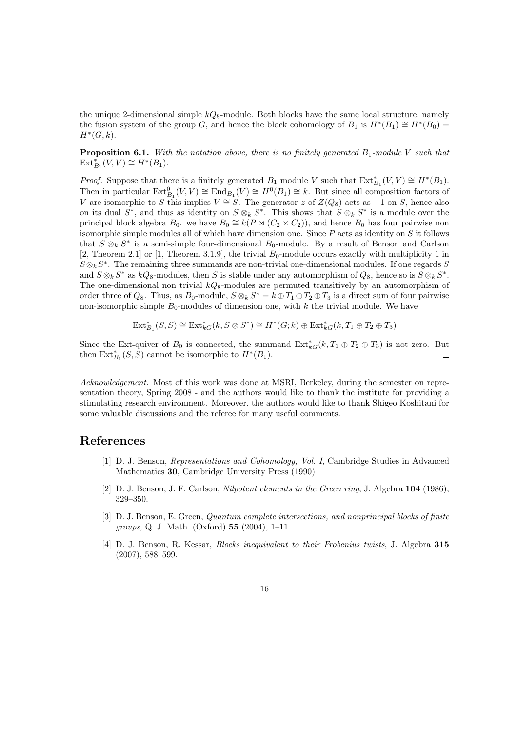the unique 2-dimensional simple  $kQ_8$ -module. Both blocks have the same local structure, namely the fusion system of the group G, and hence the block cohomology of  $B_1$  is  $H^*(B_1) \cong H^*(B_0) =$  $H^*(G,k).$ 

**Proposition 6.1.** With the notation above, there is no finitely generated  $B_1$ -module V such that  $\text{Ext}_{B_1}^*(V, V) \cong H^*(B_1).$ 

*Proof.* Suppose that there is a finitely generated  $B_1$  module V such that  $\text{Ext}_{B_1}^*(V, V) \cong H^*(B_1)$ . Then in particular  $\text{Ext}_{B_1}^0(V, V) \cong \text{End}_{B_1}(V) \cong H^0(B_1) \cong k$ . But since all composition factors of V are isomorphic to S this implies  $V \cong S$ . The generator z of  $Z(Q_8)$  acts as  $-1$  on S, hence also on its dual  $S^*$ , and thus as identity on  $S \otimes_k S^*$ . This shows that  $S \otimes_k S^*$  is a module over the principal block algebra  $B_0$ . we have  $B_0 \cong k(P \rtimes (C_2 \times C_2))$ , and hence  $B_0$  has four pairwise non isomorphic simple modules all of which have dimension one. Since  $P$  acts as identity on  $S$  it follows that  $S \otimes_k S^*$  is a semi-simple four-dimensional  $B_0$ -module. By a result of Benson and Carlson [2, Theorem 2.1] or [1, Theorem 3.1.9], the trivial  $B_0$ -module occurs exactly with multiplicity 1 in  $S \otimes_k S^*$ . The remaining three summands are non-trivial one-dimensional modules. If one regards S and  $S \otimes_k S^*$  as  $kQ_8$ -modules, then S is stable under any automorphism of  $Q_8$ , hence so is  $S \otimes_k S^*$ . The one-dimensional non trivial  $kQ_8$ -modules are permuted transitively by an automorphism of order three of  $Q_8$ . Thus, as  $B_0$ -module,  $S \otimes_k S^* = k \oplus T_1 \oplus T_2 \oplus T_3$  is a direct sum of four pairwise non-isomorphic simple  $B_0$ -modules of dimension one, with k the trivial module. We have

$$
\text{Ext}_{B_1}^{*}(S, S) \cong \text{Ext}_{kG}^{*}(k, S \otimes S^*) \cong H^{*}(G; k) \oplus \text{Ext}_{kG}^{*}(k, T_1 \oplus T_2 \oplus T_3)
$$

Since the Ext-quiver of  $B_0$  is connected, the summand  $\text{Ext}_{kG}^*(k, T_1 \oplus T_2 \oplus T_3)$  is not zero. But then  $\mathrm{Ext}_{B_1}^*(S, S)$  cannot be isomorphic to  $H^*(B_1)$ .  $\Box$ 

*Acknowledgement.* Most of this work was done at MSRI, Berkeley, during the semester on representation theory, Spring 2008 - and the authors would like to thank the institute for providing a stimulating research environment. Moreover, the authors would like to thank Shigeo Koshitani for some valuable discussions and the referee for many useful comments.

#### References

- [1] D. J. Benson, *Representations and Cohomology, Vol. I*, Cambridge Studies in Advanced Mathematics 30, Cambridge University Press (1990)
- [2] D. J. Benson, J. F. Carlson, *Nilpotent elements in the Green ring*, J. Algebra 104 (1986), 329–350.
- [3] D. J. Benson, E. Green, *Quantum complete intersections, and nonprincipal blocks of finite groups*, Q. J. Math. (Oxford) 55 (2004), 1–11.
- [4] D. J. Benson, R. Kessar, *Blocks inequivalent to their Frobenius twists*, J. Algebra 315 (2007), 588–599.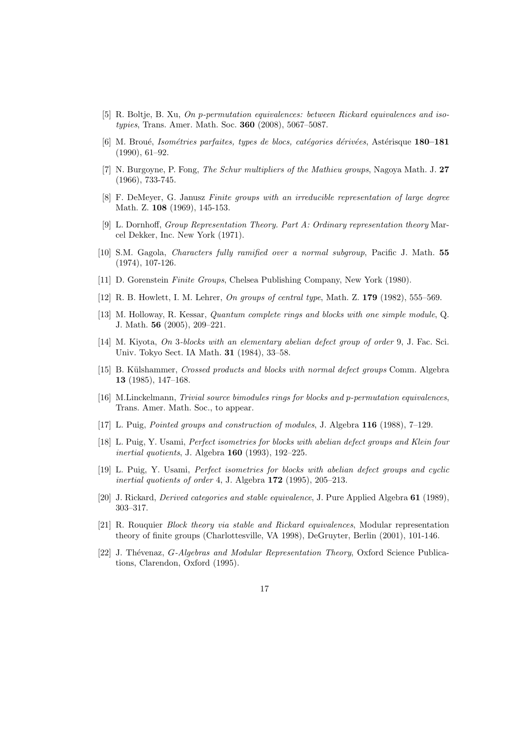- [5] R. Boltje, B. Xu, *On* p*-permutation equivalences: between Rickard equivalences and isotypies*, Trans. Amer. Math. Soc. 360 (2008), 5067–5087.
- [6] M. Broué, *Isométries parfaites, types de blocs, catégories dérivées*, Astérisque 180–181 (1990), 61–92.
- [7] N. Burgoyne, P. Fong, *The Schur multipliers of the Mathieu groups*, Nagoya Math. J. 27 (1966), 733-745.
- [8] F. DeMeyer, G. Janusz *Finite groups with an irreducible representation of large degree* Math. Z. 108 (1969), 145-153.
- [9] L. Dornhoff, *Group Representation Theory. Part A: Ordinary representation theory* Marcel Dekker, Inc. New York (1971).
- [10] S.M. Gagola, *Characters fully ramified over a normal subgroup*, Pacific J. Math. 55 (1974), 107-126.
- [11] D. Gorenstein *Finite Groups*, Chelsea Publishing Company, New York (1980).
- [12] R. B. Howlett, I. M. Lehrer, *On groups of central type*, Math. Z. 179 (1982), 555–569.
- [13] M. Holloway, R. Kessar, *Quantum complete rings and blocks with one simple module*, Q. J. Math. 56 (2005), 209–221.
- [14] M. Kiyota, *On* 3*-blocks with an elementary abelian defect group of order* 9, J. Fac. Sci. Univ. Tokyo Sect. IA Math. 31 (1984), 33–58.
- [15] B. Külshammer, *Crossed products and blocks with normal defect groups* Comm. Algebra 13 (1985), 147–168.
- [16] M.Linckelmann, *Trivial source bimodules rings for blocks and* p*-permutation equivalences*, Trans. Amer. Math. Soc., to appear.
- [17] L. Puig, *Pointed groups and construction of modules*, J. Algebra 116 (1988), 7–129.
- [18] L. Puig, Y. Usami, *Perfect isometries for blocks with abelian defect groups and Klein four inertial quotients*, J. Algebra 160 (1993), 192–225.
- [19] L. Puig, Y. Usami, *Perfect isometries for blocks with abelian defect groups and cyclic inertial quotients of order* 4, J. Algebra 172 (1995), 205–213.
- [20] J. Rickard, *Derived categories and stable equivalence*, J. Pure Applied Algebra 61 (1989), 303–317.
- [21] R. Rouquier *Block theory via stable and Rickard equivalences*, Modular representation theory of finite groups (Charlottesville, VA 1998), DeGruyter, Berlin (2001), 101-146.
- [22] J. Thévenaz, *G-Algebras and Modular Representation Theory*, Oxford Science Publications, Clarendon, Oxford (1995).